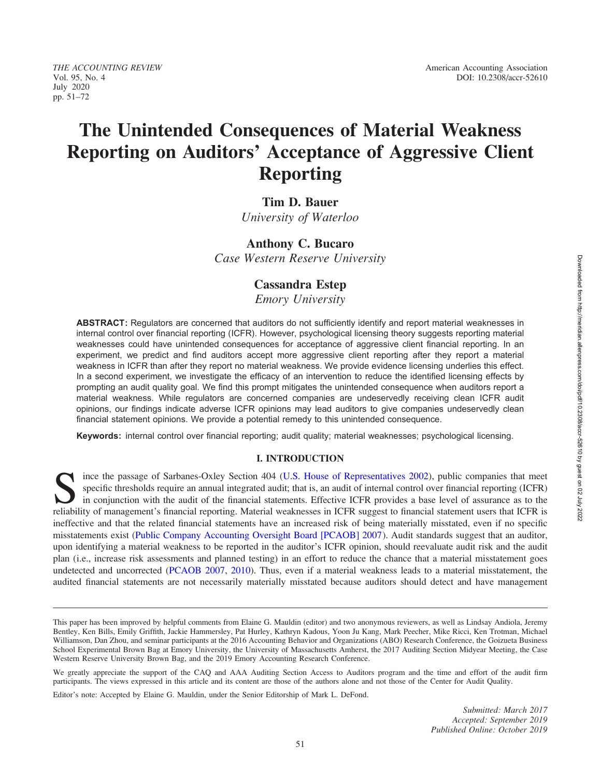# The Unintended Consequences of Material Weakness Reporting on Auditors' Acceptance of Aggressive Client Reporting

# Tim D. Bauer

University of Waterloo

# Anthony C. Bucaro

Case Western Reserve University

# Cassandra Estep

Emory University

ABSTRACT: Regulators are concerned that auditors do not sufficiently identify and report material weaknesses in internal control over financial reporting (ICFR). However, psychological licensing theory suggests reporting material weaknesses could have unintended consequences for acceptance of aggressive client financial reporting. In an experiment, we predict and find auditors accept more aggressive client reporting after they report a material weakness in ICFR than after they report no material weakness. We provide evidence licensing underlies this effect. In a second experiment, we investigate the efficacy of an intervention to reduce the identified licensing effects by prompting an audit quality goal. We find this prompt mitigates the unintended consequence when auditors report a material weakness. While regulators are concerned companies are undeservedly receiving clean ICFR audit opinions, our findings indicate adverse ICFR opinions may lead auditors to give companies undeservedly clean financial statement opinions. We provide a potential remedy to this unintended consequence.

Keywords: internal control over financial reporting; audit quality; material weaknesses; psychological licensing.

#### I. INTRODUCTION

Since the passage of Sarbanes-Oxley Section 404 [\(U.S. House of Representatives 2002\)](#page-19-0), public companies that meet<br>Since the passage of Sarbanes-Oxley Section 404 (U.S. House of Representatives 2002), public companies that m specific thresholds require an annual integrated audit; that is, an audit of internal control over financial reporting (ICFR) in conjunction with the audit of the financial statements. Effective ICFR provides a base level of assurance as to the reliability of management's financial reporting. Material weaknesses in ICFR suggest to financial statement users that ICFR is ineffective and that the related financial statements have an increased risk of being materially misstated, even if no specific misstatements exist ([Public Company Accounting Oversight Board \[PCAOB\] 2007](#page-19-0)). Audit standards suggest that an auditor, upon identifying a material weakness to be reported in the auditor's ICFR opinion, should reevaluate audit risk and the audit plan (i.e., increase risk assessments and planned testing) in an effort to reduce the chance that a material misstatement goes undetected and uncorrected [\(PCAOB 2007](#page-19-0), [2010](#page-19-0)). Thus, even if a material weakness leads to a material misstatement, the audited financial statements are not necessarily materially misstated because auditors should detect and have management

Editor's note: Accepted by Elaine G. Mauldin, under the Senior Editorship of Mark L. DeFond.

This paper has been improved by helpful comments from Elaine G. Mauldin (editor) and two anonymous reviewers, as well as Lindsay Andiola, Jeremy Bentley, Ken Bills, Emily Griffith, Jackie Hammersley, Pat Hurley, Kathryn Kadous, Yoon Ju Kang, Mark Peecher, Mike Ricci, Ken Trotman, Michael Williamson, Dan Zhou, and seminar participants at the 2016 Accounting Behavior and Organizations (ABO) Research Conference, the Goizueta Business School Experimental Brown Bag at Emory University, the University of Massachusetts Amherst, the 2017 Auditing Section Midyear Meeting, the Case Western Reserve University Brown Bag, and the 2019 Emory Accounting Research Conference.

We greatly appreciate the support of the CAQ and AAA Auditing Section Access to Auditors program and the time and effort of the audit firm participants. The views expressed in this article and its content are those of the authors alone and not those of the Center for Audit Quality.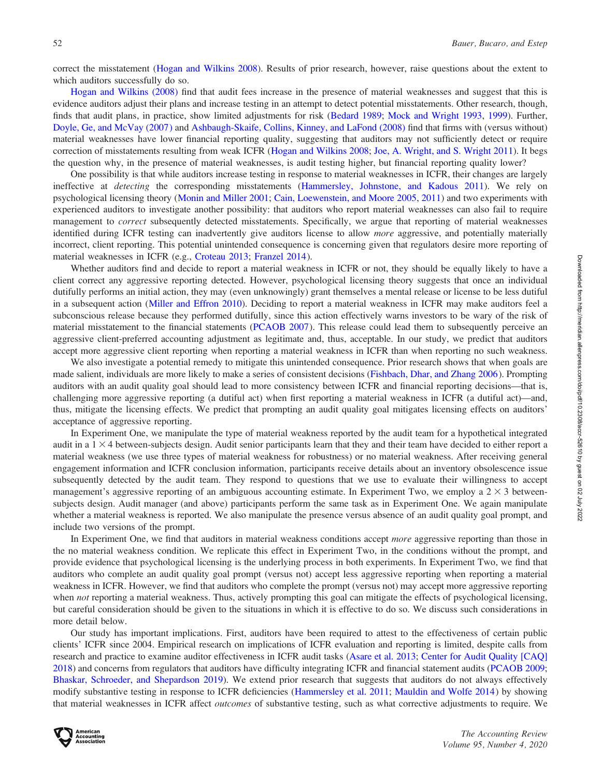correct the misstatement [\(Hogan and Wilkins 2008](#page-18-0)). Results of prior research, however, raise questions about the extent to which auditors successfully do so.

[Hogan and Wilkins \(2008\)](#page-18-0) find that audit fees increase in the presence of material weaknesses and suggest that this is evidence auditors adjust their plans and increase testing in an attempt to detect potential misstatements. Other research, though, finds that audit plans, in practice, show limited adjustments for risk ([Bedard 1989](#page-17-0); [Mock and Wright 1993](#page-19-0), [1999](#page-19-0)). Further, [Doyle, Ge, and McVay \(2007\)](#page-18-0) and [Ashbaugh-Skaife, Collins, Kinney, and LaFond \(2008\)](#page-17-0) find that firms with (versus without) material weaknesses have lower financial reporting quality, suggesting that auditors may not sufficiently detect or require correction of misstatements resulting from weak ICFR ([Hogan and Wilkins 2008](#page-18-0); [Joe, A. Wright, and S. Wright 2011\)](#page-18-0). It begs the question why, in the presence of material weaknesses, is audit testing higher, but financial reporting quality lower?

One possibility is that while auditors increase testing in response to material weaknesses in ICFR, their changes are largely ineffective at *detecting* the corresponding misstatements ([Hammersley, Johnstone, and Kadous 2011](#page-18-0)). We rely on psychological licensing theory ([Monin and Miller 2001](#page-19-0); [Cain, Loewenstein, and Moore 2005,](#page-17-0) [2011\)](#page-18-0) and two experiments with experienced auditors to investigate another possibility: that auditors who report material weaknesses can also fail to require management to *correct* subsequently detected misstatements. Specifically, we argue that reporting of material weaknesses identified during ICFR testing can inadvertently give auditors license to allow *more* aggressive, and potentially materially incorrect, client reporting. This potential unintended consequence is concerning given that regulators desire more reporting of material weaknesses in ICFR (e.g., [Croteau 2013](#page-18-0); [Franzel 2014](#page-18-0)).

Whether auditors find and decide to report a material weakness in ICFR or not, they should be equally likely to have a client correct any aggressive reporting detected. However, psychological licensing theory suggests that once an individual dutifully performs an initial action, they may (even unknowingly) grant themselves a mental release or license to be less dutiful in a subsequent action [\(Miller and Effron 2010\)](#page-19-0). Deciding to report a material weakness in ICFR may make auditors feel a subconscious release because they performed dutifully, since this action effectively warns investors to be wary of the risk of material misstatement to the financial statements ([PCAOB 2007](#page-19-0)). This release could lead them to subsequently perceive an aggressive client-preferred accounting adjustment as legitimate and, thus, acceptable. In our study, we predict that auditors accept more aggressive client reporting when reporting a material weakness in ICFR than when reporting no such weakness.

We also investigate a potential remedy to mitigate this unintended consequence. Prior research shows that when goals are made salient, individuals are more likely to make a series of consistent decisions [\(Fishbach, Dhar, and Zhang 2006](#page-18-0)). Prompting auditors with an audit quality goal should lead to more consistency between ICFR and financial reporting decisions—that is, challenging more aggressive reporting (a dutiful act) when first reporting a material weakness in ICFR (a dutiful act)—and, thus, mitigate the licensing effects. We predict that prompting an audit quality goal mitigates licensing effects on auditors' acceptance of aggressive reporting.

In Experiment One, we manipulate the type of material weakness reported by the audit team for a hypothetical integrated audit in a  $1 \times 4$  between-subjects design. Audit senior participants learn that they and their team have decided to either report a material weakness (we use three types of material weakness for robustness) or no material weakness. After receiving general engagement information and ICFR conclusion information, participants receive details about an inventory obsolescence issue subsequently detected by the audit team. They respond to questions that we use to evaluate their willingness to accept management's aggressive reporting of an ambiguous accounting estimate. In Experiment Two, we employ a  $2 \times 3$  betweensubjects design. Audit manager (and above) participants perform the same task as in Experiment One. We again manipulate whether a material weakness is reported. We also manipulate the presence versus absence of an audit quality goal prompt, and include two versions of the prompt.

In Experiment One, we find that auditors in material weakness conditions accept *more* aggressive reporting than those in the no material weakness condition. We replicate this effect in Experiment Two, in the conditions without the prompt, and provide evidence that psychological licensing is the underlying process in both experiments. In Experiment Two, we find that auditors who complete an audit quality goal prompt (versus not) accept less aggressive reporting when reporting a material weakness in ICFR. However, we find that auditors who complete the prompt (versus not) may accept more aggressive reporting when not reporting a material weakness. Thus, actively prompting this goal can mitigate the effects of psychological licensing, but careful consideration should be given to the situations in which it is effective to do so. We discuss such considerations in more detail below.

Our study has important implications. First, auditors have been required to attest to the effectiveness of certain public clients' ICFR since 2004. Empirical research on implications of ICFR evaluation and reporting is limited, despite calls from research and practice to examine auditor effectiveness in ICFR audit tasks ([Asare et al. 2013;](#page-17-0) [Center for Audit Quality \[CAQ\]](#page-18-0) [2018\)](#page-18-0) and concerns from regulators that auditors have difficulty integrating ICFR and financial statement audits ([PCAOB 2009](#page-19-0); [Bhaskar, Schroeder, and Shepardson 2019](#page-17-0)). We extend prior research that suggests that auditors do not always effectively modify substantive testing in response to ICFR deficiencies [\(Hammersley et al. 2011;](#page-18-0) [Mauldin and Wolfe 2014](#page-19-0)) by showing that material weaknesses in ICFR affect outcomes of substantive testing, such as what corrective adjustments to require. We

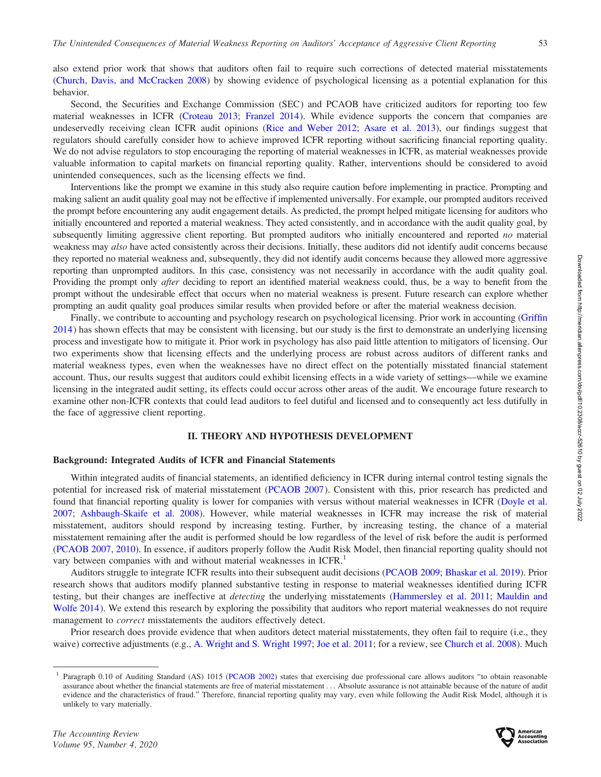also extend prior work that shows that auditors often fail to require such corrections of detected material misstatements [\(Church, Davis, and McCracken 2008\)](#page-18-0) by showing evidence of psychological licensing as a potential explanation for this behavior.

Second, the Securities and Exchange Commission (SEC) and PCAOB have criticized auditors for reporting too few material weaknesses in ICFR ([Croteau 2013](#page-18-0); [Franzel 2014](#page-18-0)). While evidence supports the concern that companies are undeservedly receiving clean ICFR audit opinions ([Rice and Weber 2012;](#page-19-0) [Asare et al. 2013](#page-17-0)), our findings suggest that regulators should carefully consider how to achieve improved ICFR reporting without sacrificing financial reporting quality. We do not advise regulators to stop encouraging the reporting of material weaknesses in ICFR, as material weaknesses provide valuable information to capital markets on financial reporting quality. Rather, interventions should be considered to avoid unintended consequences, such as the licensing effects we find.

Interventions like the prompt we examine in this study also require caution before implementing in practice. Prompting and making salient an audit quality goal may not be effective if implemented universally. For example, our prompted auditors received the prompt before encountering any audit engagement details. As predicted, the prompt helped mitigate licensing for auditors who initially encountered and reported a material weakness. They acted consistently, and in accordance with the audit quality goal, by subsequently limiting aggressive client reporting. But prompted auditors who initially encountered and reported no material weakness may *also* have acted consistently across their decisions. Initially, these auditors did not identify audit concerns because they reported no material weakness and, subsequently, they did not identify audit concerns because they allowed more aggressive reporting than unprompted auditors. In this case, consistency was not necessarily in accordance with the audit quality goal. Providing the prompt only *after* deciding to report an identified material weakness could, thus, be a way to benefit from the prompt without the undesirable effect that occurs when no material weakness is present. Future research can explore whether prompting an audit quality goal produces similar results when provided before or after the material weakness decision.

Finally, we contribute to accounting and psychology research on psychological licensing. Prior work in accounting [\(Griffin](#page-18-0) [2014](#page-18-0)) has shown effects that may be consistent with licensing, but our study is the first to demonstrate an underlying licensing process and investigate how to mitigate it. Prior work in psychology has also paid little attention to mitigators of licensing. Our two experiments show that licensing effects and the underlying process are robust across auditors of different ranks and material weakness types, even when the weaknesses have no direct effect on the potentially misstated financial statement account. Thus, our results suggest that auditors could exhibit licensing effects in a wide variety of settings—while we examine licensing in the integrated audit setting, its effects could occur across other areas of the audit. We encourage future research to examine other non-ICFR contexts that could lead auditors to feel dutiful and licensed and to consequently act less dutifully in the face of aggressive client reporting.

## II. THEORY AND HYPOTHESIS DEVELOPMENT

#### Background: Integrated Audits of ICFR and Financial Statements

Within integrated audits of financial statements, an identified deficiency in ICFR during internal control testing signals the potential for increased risk of material misstatement [\(PCAOB 2007](#page-19-0)). Consistent with this, prior research has predicted and found that financial reporting quality is lower for companies with versus without material weaknesses in ICFR [\(Doyle et al.](#page-18-0) [2007;](#page-18-0) [Ashbaugh-Skaife et al. 2008](#page-17-0)). However, while material weaknesses in ICFR may increase the risk of material misstatement, auditors should respond by increasing testing. Further, by increasing testing, the chance of a material misstatement remaining after the audit is performed should be low regardless of the level of risk before the audit is performed [\(PCAOB 2007](#page-19-0), [2010](#page-19-0)). In essence, if auditors properly follow the Audit Risk Model, then financial reporting quality should not vary between companies with and without material weaknesses in ICFR.<sup>1</sup>

Auditors struggle to integrate ICFR results into their subsequent audit decisions ([PCAOB 2009](#page-19-0); [Bhaskar et al. 2019](#page-17-0)). Prior research shows that auditors modify planned substantive testing in response to material weaknesses identified during ICFR testing, but their changes are ineffective at detecting the underlying misstatements [\(Hammersley et al. 2011](#page-18-0); [Mauldin and](#page-19-0) [Wolfe 2014](#page-19-0)). We extend this research by exploring the possibility that auditors who report material weaknesses do not require management to correct misstatements the auditors effectively detect.

Prior research does provide evidence that when auditors detect material misstatements, they often fail to require (i.e., they waive) corrective adjustments (e.g., [A. Wright and S. Wright 1997;](#page-19-0) [Joe et al. 2011](#page-18-0); for a review, see [Church et al. 2008\)](#page-18-0). Much



<sup>1</sup> Paragraph 0.10 of Auditing Standard (AS) 1015 ([PCAOB 2002\)](#page-19-0) states that exercising due professional care allows auditors ''to obtain reasonable assurance about whether the financial statements are free of material misstatement ... Absolute assurance is not attainable because of the nature of audit evidence and the characteristics of fraud.'' Therefore, financial reporting quality may vary, even while following the Audit Risk Model, although it is unlikely to vary materially.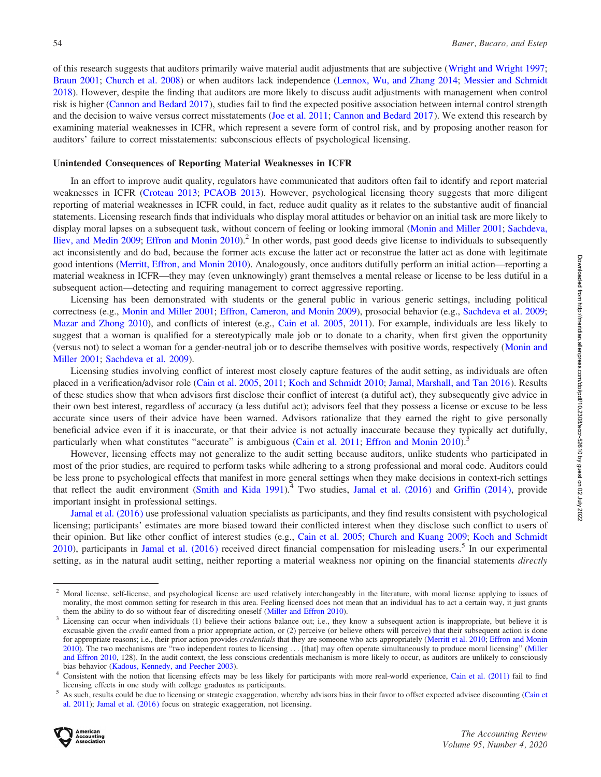of this research suggests that auditors primarily waive material audit adjustments that are subjective [\(Wright and Wright 1997](#page-19-0); [Braun 2001;](#page-17-0) [Church et al. 2008\)](#page-18-0) or when auditors lack independence [\(Lennox, Wu, and Zhang 2014;](#page-19-0) [Messier and Schmidt](#page-19-0) [2018\)](#page-19-0). However, despite the finding that auditors are more likely to discuss audit adjustments with management when control risk is higher [\(Cannon and Bedard 2017](#page-18-0)), studies fail to find the expected positive association between internal control strength and the decision to waive versus correct misstatements ([Joe et al. 2011;](#page-18-0) [Cannon and Bedard 2017](#page-18-0)). We extend this research by examining material weaknesses in ICFR, which represent a severe form of control risk, and by proposing another reason for auditors' failure to correct misstatements: subconscious effects of psychological licensing.

#### Unintended Consequences of Reporting Material Weaknesses in ICFR

In an effort to improve audit quality, regulators have communicated that auditors often fail to identify and report material weaknesses in ICFR ([Croteau 2013](#page-18-0); [PCAOB 2013](#page-19-0)). However, psychological licensing theory suggests that more diligent reporting of material weaknesses in ICFR could, in fact, reduce audit quality as it relates to the substantive audit of financial statements. Licensing research finds that individuals who display moral attitudes or behavior on an initial task are more likely to display moral lapses on a subsequent task, without concern of feeling or looking immoral ([Monin and Miller 2001](#page-19-0); [Sachdeva,](#page-19-0) [Iliev, and Medin 2009](#page-19-0); [Effron and Monin 2010](#page-18-0)).<sup>2</sup> In other words, past good deeds give license to individuals to subsequently act inconsistently and do bad, because the former acts excuse the latter act or reconstrue the latter act as done with legitimate good intentions ([Merritt, Effron, and Monin 2010\)](#page-19-0). Analogously, once auditors dutifully perform an initial action—reporting a material weakness in ICFR—they may (even unknowingly) grant themselves a mental release or license to be less dutiful in a subsequent action—detecting and requiring management to correct aggressive reporting.

Licensing has been demonstrated with students or the general public in various generic settings, including political correctness (e.g., [Monin and Miller 2001](#page-19-0); [Effron, Cameron, and Monin 2009\)](#page-18-0), prosocial behavior (e.g., [Sachdeva et al. 2009](#page-19-0); [Mazar and Zhong 2010\)](#page-19-0), and conflicts of interest (e.g., [Cain et al. 2005,](#page-17-0) [2011\)](#page-18-0). For example, individuals are less likely to suggest that a woman is qualified for a stereotypically male job or to donate to a charity, when first given the opportunity (versus not) to select a woman for a gender-neutral job or to describe themselves with positive words, respectively [\(Monin and](#page-19-0) [Miller 2001;](#page-19-0) [Sachdeva et al. 2009](#page-19-0)).

Licensing studies involving conflict of interest most closely capture features of the audit setting, as individuals are often placed in a verification/advisor role [\(Cain et al. 2005,](#page-17-0) [2011;](#page-18-0) [Koch and Schmidt 2010](#page-19-0); [Jamal, Marshall, and Tan 2016](#page-18-0)). Results of these studies show that when advisors first disclose their conflict of interest (a dutiful act), they subsequently give advice in their own best interest, regardless of accuracy (a less dutiful act); advisors feel that they possess a license or excuse to be less accurate since users of their advice have been warned. Advisors rationalize that they earned the right to give personally beneficial advice even if it is inaccurate, or that their advice is not actually inaccurate because they typically act dutifully, particularly when what constitutes "accurate" is ambiguous ([Cain et al. 2011;](#page-18-0) [Effron and Monin 2010](#page-18-0)).<sup>3</sup>

However, licensing effects may not generalize to the audit setting because auditors, unlike students who participated in most of the prior studies, are required to perform tasks while adhering to a strong professional and moral code. Auditors could be less prone to psychological effects that manifest in more general settings when they make decisions in context-rich settings that reflect the audit environment ([Smith and Kida 1991\)](#page-19-0).<sup>4</sup> Two studies, [Jamal et al. \(2016\)](#page-18-0) and [Griffin \(2014\),](#page-18-0) provide important insight in professional settings.

[Jamal et al. \(2016\)](#page-18-0) use professional valuation specialists as participants, and they find results consistent with psychological licensing; participants' estimates are more biased toward their conflicted interest when they disclose such conflict to users of their opinion. But like other conflict of interest studies (e.g., [Cain et al. 2005](#page-17-0); [Church and Kuang 2009;](#page-18-0) [Koch and Schmidt](#page-19-0) [2010\)](#page-19-0), participants in [Jamal et al. \(2016\)](#page-18-0) received direct financial compensation for misleading users.<sup>5</sup> In our experimental setting, as in the natural audit setting, neither reporting a material weakness nor opining on the financial statements *directly* 



<sup>&</sup>lt;sup>2</sup> Moral license, self-license, and psychological license are used relatively interchangeably in the literature, with moral license applying to issues of morality, the most common setting for research in this area. Feeling licensed does not mean that an individual has to act a certain way, it just grants

them the ability to do so without fear of discrediting oneself ([Miller and Effron 2010\)](#page-19-0).<br><sup>3</sup> Licensing can occur when individuals (1) believe their actions balance out; i.e., they know a subsequent action is inappropriate excusable given the *credit* earned from a prior appropriate action, or (2) perceive (or believe others will perceive) that their subsequent action is done for appropriate reasons; i.e., their prior action provides *credentials* that they are someone who acts appropriately [\(Merritt et al. 2010;](#page-19-0) [Effron and Monin](#page-18-0) [2010\)](#page-18-0). The two mechanisms are "two independent routes to licensing ... [that] may often operate simultaneously to produce moral licensing" ([Miller](#page-19-0) [and Effron 2010,](#page-19-0) 128). In the audit context, the less conscious credentials mechanism is more likely to occur, as auditors are unlikely to consciously bias behavior [\(Kadous, Kennedy, and Peecher 2003\)](#page-18-0).<br><sup>4</sup> Consistent with the notion that licensing effects may be less likely for participants with more real-world experience, [Cain et al. \(2011\)](#page-18-0) fail to find

licensing effects in one study with college graduates as participants.<br>As such, results could be due to licensing or strategic exaggeration, whereby advisors bias in their favor to offset expected advisee discounting (Cain

[al. 2011](#page-18-0)); [Jamal et al. \(2016\)](#page-18-0) focus on strategic exaggeration, not licensing.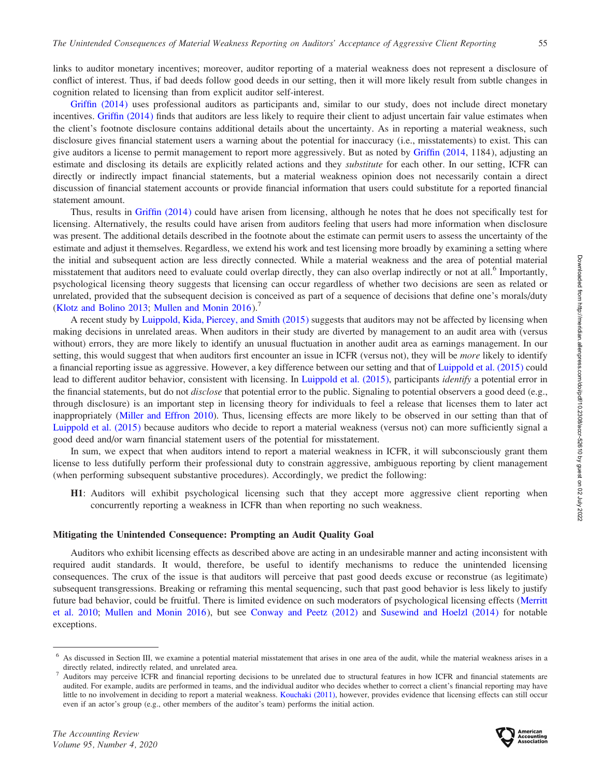links to auditor monetary incentives; moreover, auditor reporting of a material weakness does not represent a disclosure of conflict of interest. Thus, if bad deeds follow good deeds in our setting, then it will more likely result from subtle changes in cognition related to licensing than from explicit auditor self-interest.

[Griffin \(2014\)](#page-18-0) uses professional auditors as participants and, similar to our study, does not include direct monetary incentives. [Griffin \(2014\)](#page-18-0) finds that auditors are less likely to require their client to adjust uncertain fair value estimates when the client's footnote disclosure contains additional details about the uncertainty. As in reporting a material weakness, such disclosure gives financial statement users a warning about the potential for inaccuracy (i.e., misstatements) to exist. This can give auditors a license to permit management to report more aggressively. But as noted by [Griffin \(2014,](#page-18-0) 1184), adjusting an estimate and disclosing its details are explicitly related actions and they substitute for each other. In our setting, ICFR can directly or indirectly impact financial statements, but a material weakness opinion does not necessarily contain a direct discussion of financial statement accounts or provide financial information that users could substitute for a reported financial statement amount.

Thus, results in [Griffin \(2014\)](#page-18-0) could have arisen from licensing, although he notes that he does not specifically test for licensing. Alternatively, the results could have arisen from auditors feeling that users had more information when disclosure was present. The additional details described in the footnote about the estimate can permit users to assess the uncertainty of the estimate and adjust it themselves. Regardless, we extend his work and test licensing more broadly by examining a setting where the initial and subsequent action are less directly connected. While a material weakness and the area of potential material misstatement that auditors need to evaluate could overlap directly, they can also overlap indirectly or not at all.<sup>6</sup> Importantly, psychological licensing theory suggests that licensing can occur regardless of whether two decisions are seen as related or unrelated, provided that the subsequent decision is conceived as part of a sequence of decisions that define one's morals/duty [\(Klotz and Bolino 2013;](#page-19-0) [Mullen and Monin 2016](#page-19-0)).<sup>7</sup>

A recent study by [Luippold, Kida, Piercey, and Smith \(2015\)](#page-19-0) suggests that auditors may not be affected by licensing when making decisions in unrelated areas. When auditors in their study are diverted by management to an audit area with (versus without) errors, they are more likely to identify an unusual fluctuation in another audit area as earnings management. In our setting, this would suggest that when auditors first encounter an issue in ICFR (versus not), they will be *more* likely to identify a financial reporting issue as aggressive. However, a key difference between our setting and that of [Luippold et al. \(2015\)](#page-19-0) could lead to different auditor behavior, consistent with licensing. In [Luippold et al. \(2015\)](#page-19-0), participants identify a potential error in the financial statements, but do not *disclose* that potential error to the public. Signaling to potential observers a good deed (e.g., through disclosure) is an important step in licensing theory for individuals to feel a release that licenses them to later act inappropriately [\(Miller and Effron 2010](#page-19-0)). Thus, licensing effects are more likely to be observed in our setting than that of [Luippold et al. \(2015\)](#page-19-0) because auditors who decide to report a material weakness (versus not) can more sufficiently signal a good deed and/or warn financial statement users of the potential for misstatement.

In sum, we expect that when auditors intend to report a material weakness in ICFR, it will subconsciously grant them license to less dutifully perform their professional duty to constrain aggressive, ambiguous reporting by client management (when performing subsequent substantive procedures). Accordingly, we predict the following:

H1: Auditors will exhibit psychological licensing such that they accept more aggressive client reporting when concurrently reporting a weakness in ICFR than when reporting no such weakness.

#### Mitigating the Unintended Consequence: Prompting an Audit Quality Goal

Auditors who exhibit licensing effects as described above are acting in an undesirable manner and acting inconsistent with required audit standards. It would, therefore, be useful to identify mechanisms to reduce the unintended licensing consequences. The crux of the issue is that auditors will perceive that past good deeds excuse or reconstrue (as legitimate) subsequent transgressions. Breaking or reframing this mental sequencing, such that past good behavior is less likely to justify future bad behavior, could be fruitful. There is limited evidence on such moderators of psychological licensing effects ([Merritt](#page-19-0) [et al. 2010;](#page-19-0) [Mullen and Monin 2016](#page-19-0)), but see [Conway and Peetz \(2012\)](#page-18-0) and [Susewind and Hoelzl \(2014\)](#page-19-0) for notable exceptions.



<sup>6</sup> As discussed in Section III, we examine a potential material misstatement that arises in one area of the audit, while the material weakness arises in a

directly related, indirectly related, and unrelated area.<br><sup>7</sup> Auditors may perceive ICFR and financial reporting decisions to be unrelated due to structural features in how ICFR and financial statements are audited. For example, audits are performed in teams, and the individual auditor who decides whether to correct a client's financial reporting may have little to no involvement in deciding to report a material weakness. [Kouchaki \(2011\),](#page-19-0) however, provides evidence that licensing effects can still occur even if an actor's group (e.g., other members of the auditor's team) performs the initial action.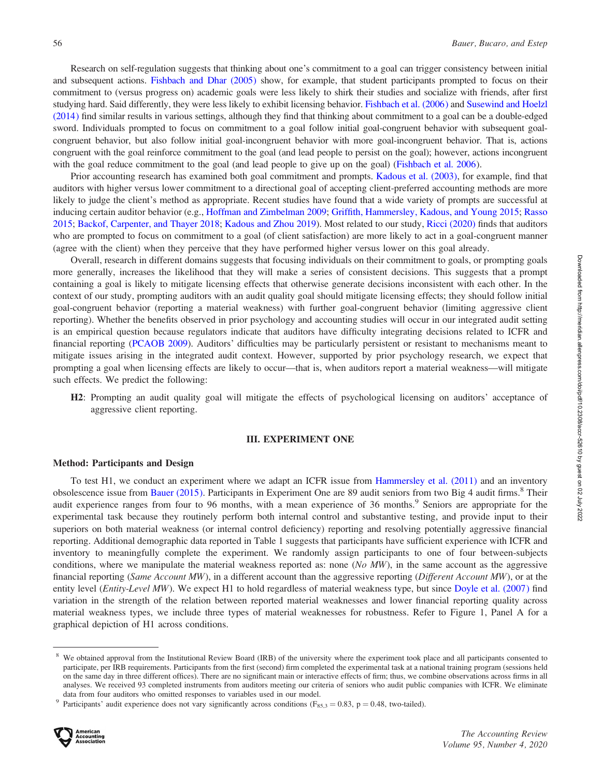Research on self-regulation suggests that thinking about one's commitment to a goal can trigger consistency between initial and subsequent actions. [Fishbach and Dhar \(2005\)](#page-18-0) show, for example, that student participants prompted to focus on their commitment to (versus progress on) academic goals were less likely to shirk their studies and socialize with friends, after first studying hard. Said differently, they were less likely to exhibit licensing behavior. [Fishbach et al. \(2006\)](#page-18-0) and [Susewind and Hoelzl](#page-19-0) [\(2014\)](#page-19-0) find similar results in various settings, although they find that thinking about commitment to a goal can be a double-edged sword. Individuals prompted to focus on commitment to a goal follow initial goal-congruent behavior with subsequent goalcongruent behavior, but also follow initial goal-incongruent behavior with more goal-incongruent behavior. That is, actions congruent with the goal reinforce commitment to the goal (and lead people to persist on the goal); however, actions incongruent with the goal reduce commitment to the goal (and lead people to give up on the goal) [\(Fishbach et al. 2006](#page-18-0)).

Prior accounting research has examined both goal commitment and prompts. [Kadous et al. \(2003\),](#page-18-0) for example, find that auditors with higher versus lower commitment to a directional goal of accepting client-preferred accounting methods are more likely to judge the client's method as appropriate. Recent studies have found that a wide variety of prompts are successful at inducing certain auditor behavior (e.g., [Hoffman and Zimbelman 2009;](#page-18-0) [Griffith, Hammersley, Kadous, and Young 2015](#page-18-0); [Rasso](#page-19-0) [2015;](#page-19-0) [Backof, Carpenter, and Thayer 2018;](#page-17-0) [Kadous and Zhou 2019](#page-18-0)). Most related to our study, [Ricci \(2020\)](#page-19-0) finds that auditors who are prompted to focus on commitment to a goal (of client satisfaction) are more likely to act in a goal-congruent manner (agree with the client) when they perceive that they have performed higher versus lower on this goal already.

Overall, research in different domains suggests that focusing individuals on their commitment to goals, or prompting goals more generally, increases the likelihood that they will make a series of consistent decisions. This suggests that a prompt containing a goal is likely to mitigate licensing effects that otherwise generate decisions inconsistent with each other. In the context of our study, prompting auditors with an audit quality goal should mitigate licensing effects; they should follow initial goal-congruent behavior (reporting a material weakness) with further goal-congruent behavior (limiting aggressive client reporting). Whether the benefits observed in prior psychology and accounting studies will occur in our integrated audit setting is an empirical question because regulators indicate that auditors have difficulty integrating decisions related to ICFR and financial reporting [\(PCAOB 2009](#page-19-0)). Auditors' difficulties may be particularly persistent or resistant to mechanisms meant to mitigate issues arising in the integrated audit context. However, supported by prior psychology research, we expect that prompting a goal when licensing effects are likely to occur—that is, when auditors report a material weakness—will mitigate such effects. We predict the following:

H2: Prompting an audit quality goal will mitigate the effects of psychological licensing on auditors' acceptance of aggressive client reporting.

#### III. EXPERIMENT ONE

#### Method: Participants and Design

To test H1, we conduct an experiment where we adapt an ICFR issue from [Hammersley et al. \(2011\)](#page-18-0) and an inventory obsolescence issue from [Bauer \(2015\).](#page-17-0) Participants in Experiment One are 89 audit seniors from two Big 4 audit firms.<sup>8</sup> Their audit experience ranges from four to 96 months, with a mean experience of 36 months.<sup>9</sup> Seniors are appropriate for the experimental task because they routinely perform both internal control and substantive testing, and provide input to their superiors on both material weakness (or internal control deficiency) reporting and resolving potentially aggressive financial reporting. Additional demographic data reported in Table 1 suggests that participants have sufficient experience with ICFR and inventory to meaningfully complete the experiment. We randomly assign participants to one of four between-subjects conditions, where we manipulate the material weakness reported as: none  $(No\ MW)$ , in the same account as the aggressive financial reporting (Same Account MW), in a different account than the aggressive reporting (Different Account MW), or at the entity level (*Entity-Level MW*). We expect H1 to hold regardless of material weakness type, but since [Doyle et al. \(2007\)](#page-18-0) find variation in the strength of the relation between reported material weaknesses and lower financial reporting quality across material weakness types, we include three types of material weaknesses for robustness. Refer to Figure 1, Panel A for a graphical depiction of H1 across conditions.

Participants' audit experience does not vary significantly across conditions (F<sub>85,3</sub> = 0.83, p = 0.48, two-tailed).



<sup>&</sup>lt;sup>8</sup> We obtained approval from the Institutional Review Board (IRB) of the university where the experiment took place and all participants consented to participate, per IRB requirements. Participants from the first (second) firm completed the experimental task at a national training program (sessions held on the same day in three different offices). There are no significant main or interactive effects of firm; thus, we combine observations across firms in all analyses. We received 93 completed instruments from auditors meeting our criteria of seniors who audit public companies with ICFR. We eliminate data from four auditors who omitted responses to variables used in our model.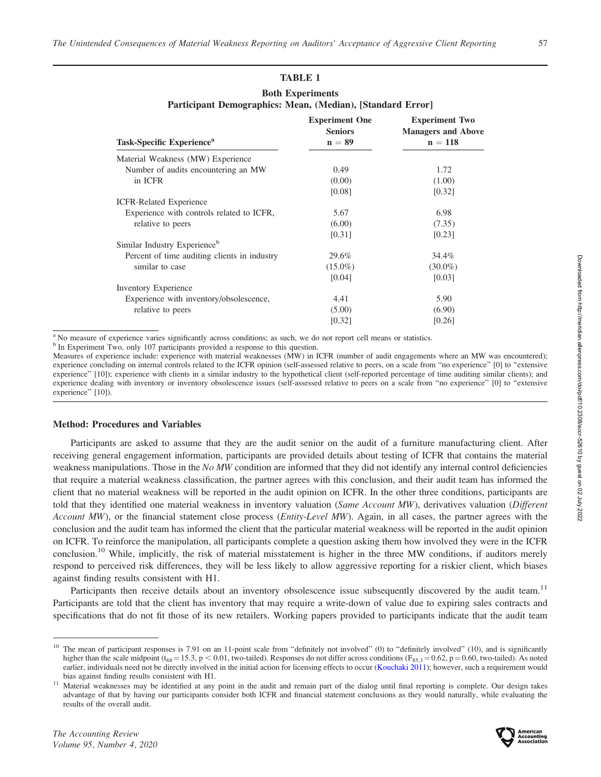# TABLE 1

| <b>Both Experiments</b>                                    |  |  |  |  |  |
|------------------------------------------------------------|--|--|--|--|--|
| Participant Demographics: Mean, (Median), [Standard Error] |  |  |  |  |  |

|                                              | <b>Experiment One</b><br><b>Seniors</b> | <b>Experiment Two</b><br><b>Managers and Above</b> |  |
|----------------------------------------------|-----------------------------------------|----------------------------------------------------|--|
| Task-Specific Experience <sup>a</sup>        | $n = 89$                                | $n = 118$                                          |  |
| Material Weakness (MW) Experience            |                                         |                                                    |  |
| Number of audits encountering an MW          | 0.49                                    | 1.72                                               |  |
| in ICFR                                      | (0.00)                                  | (1.00)                                             |  |
|                                              | [0.08]                                  | [0.32]                                             |  |
| <b>ICFR-Related Experience</b>               |                                         |                                                    |  |
| Experience with controls related to ICFR,    | 5.67                                    | 6.98                                               |  |
| relative to peers                            | (6.00)                                  | (7.35)                                             |  |
|                                              | [0.31]                                  | [0.23]                                             |  |
| Similar Industry Experience <sup>b</sup>     |                                         |                                                    |  |
| Percent of time auditing clients in industry | 29.6%                                   | 34.4%                                              |  |
| similar to case                              | $(15.0\%)$                              | $(30.0\%)$                                         |  |
|                                              | [0.04]                                  | [0.03]                                             |  |
| <b>Inventory Experience</b>                  |                                         |                                                    |  |
| Experience with inventory/obsolescence,      | 4.41                                    | 5.90                                               |  |
| relative to peers                            | (5.00)                                  | (6.90)                                             |  |
|                                              | [0.32]                                  | [0.26]                                             |  |

<sup>a</sup> No measure of experience varies significantly across conditions; as such, we do not report cell means or statistics.

Measures of experience include: experience with material weaknesses (MW) in ICFR (number of audit engagements where an MW was encountered); experience concluding on internal controls related to the ICFR opinion (self-assessed relative to peers, on a scale from ''no experience'' [0] to ''extensive experience'' [10]); experience with clients in a similar industry to the hypothetical client (self-reported percentage of time auditing similar clients); and experience dealing with inventory or inventory obsolescence issues (self-assessed relative to peers on a scale from ''no experience'' [0] to ''extensive experience" [10]).

# Method: Procedures and Variables

Participants are asked to assume that they are the audit senior on the audit of a furniture manufacturing client. After receiving general engagement information, participants are provided details about testing of ICFR that contains the material weakness manipulations. Those in the No MW condition are informed that they did not identify any internal control deficiencies that require a material weakness classification, the partner agrees with this conclusion, and their audit team has informed the client that no material weakness will be reported in the audit opinion on ICFR. In the other three conditions, participants are told that they identified one material weakness in inventory valuation (Same Account MW), derivatives valuation (Different Account MW), or the financial statement close process (*Entity-Level MW*). Again, in all cases, the partner agrees with the conclusion and the audit team has informed the client that the particular material weakness will be reported in the audit opinion on ICFR. To reinforce the manipulation, all participants complete a question asking them how involved they were in the ICFR conclusion.<sup>10</sup> While, implicitly, the risk of material misstatement is higher in the three MW conditions, if auditors merely respond to perceived risk differences, they will be less likely to allow aggressive reporting for a riskier client, which biases against finding results consistent with H1.

Participants then receive details about an inventory obsolescence issue subsequently discovered by the audit team.<sup>11</sup> Participants are told that the client has inventory that may require a write-down of value due to expiring sales contracts and specifications that do not fit those of its new retailers. Working papers provided to participants indicate that the audit team



b In Experiment Two, only 107 participants provided a response to this question.

 $10$  The mean of participant responses is 7.91 on an 11-point scale from "definitely not involved" (0) to "definitely involved" (10), and is significantly higher than the scale midpoint (t<sub>88</sub> = 15.3, p < 0.01, two-tailed). Responses do not differ across conditions ( $F_{85,3} = 0.62$ , p = 0.60, two-tailed). As noted earlier, individuals need not be directly involved in the initial action for licensing effects to occur [\(Kouchaki 2011\)](#page-19-0); however, such a requirement would bias against finding results consistent with H1.<br><sup>11</sup> Material weaknesses may be identified at any point in the audit and remain part of the dialog until final reporting is complete. Our design takes

advantage of that by having our participants consider both ICFR and financial statement conclusions as they would naturally, while evaluating the results of the overall audit.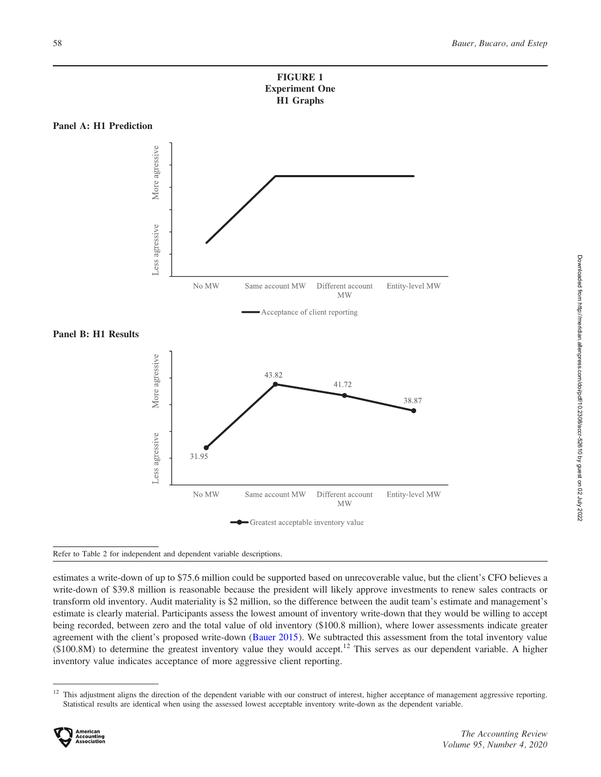

### Panel A: H1 Prediction



Panel B: H1 Results



#### Refer to Table 2 for independent and dependent variable descriptions.

estimates a write-down of up to \$75.6 million could be supported based on unrecoverable value, but the client's CFO believes a write-down of \$39.8 million is reasonable because the president will likely approve investments to renew sales contracts or transform old inventory. Audit materiality is \$2 million, so the difference between the audit team's estimate and management's estimate is clearly material. Participants assess the lowest amount of inventory write-down that they would be willing to accept being recorded, between zero and the total value of old inventory (\$100.8 million), where lower assessments indicate greater agreement with the client's proposed write-down [\(Bauer 2015](#page-17-0)). We subtracted this assessment from the total inventory value  $(\$100.8M)$  to determine the greatest inventory value they would accept.<sup>12</sup> This serves as our dependent variable. A higher inventory value indicates acceptance of more aggressive client reporting.

 $12$  This adjustment aligns the direction of the dependent variable with our construct of interest, higher acceptance of management aggressive reporting. Statistical results are identical when using the assessed lowest acceptable inventory write-down as the dependent variable.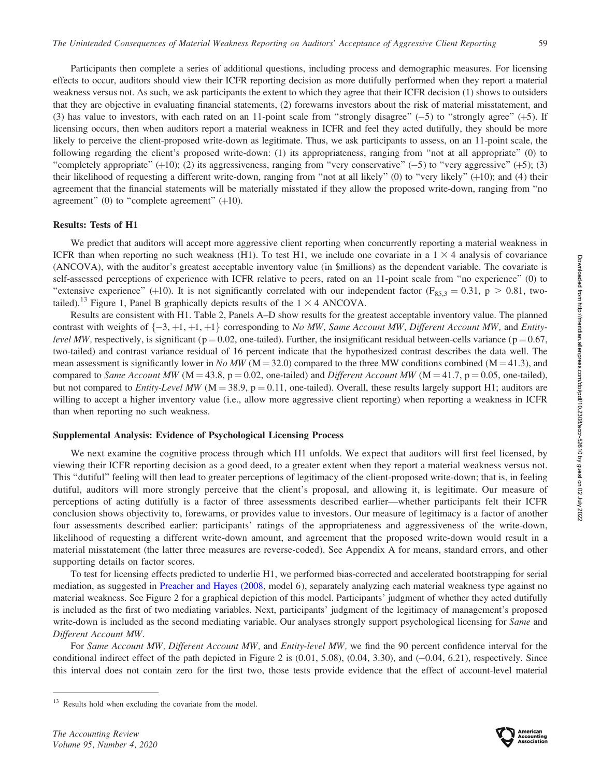Participants then complete a series of additional questions, including process and demographic measures. For licensing effects to occur, auditors should view their ICFR reporting decision as more dutifully performed when they report a material weakness versus not. As such, we ask participants the extent to which they agree that their ICFR decision (1) shows to outsiders that they are objective in evaluating financial statements, (2) forewarns investors about the risk of material misstatement, and (3) has value to investors, with each rated on an 11-point scale from "strongly disagree"  $(-5)$  to "strongly agree"  $(+5)$ . If licensing occurs, then when auditors report a material weakness in ICFR and feel they acted dutifully, they should be more likely to perceive the client-proposed write-down as legitimate. Thus, we ask participants to assess, on an 11-point scale, the following regarding the client's proposed write-down: (1) its appropriateness, ranging from ''not at all appropriate'' (0) to "completely appropriate"  $(+10)$ ; (2) its aggressiveness, ranging from "very conservative"  $(-5)$  to "very aggressive"  $(+5)$ ; (3) their likelihood of requesting a different write-down, ranging from "not at all likely" (0) to "very likely" (+10); and (4) their agreement that the financial statements will be materially misstated if they allow the proposed write-down, ranging from ''no agreement" (0) to "complete agreement"  $(+10)$ .

#### Results: Tests of H1

We predict that auditors will accept more aggressive client reporting when concurrently reporting a material weakness in ICFR than when reporting no such weakness (H1). To test H1, we include one covariate in a  $1 \times 4$  analysis of covariance (ANCOVA), with the auditor's greatest acceptable inventory value (in \$millions) as the dependent variable. The covariate is self-assessed perceptions of experience with ICFR relative to peers, rated on an 11-point scale from ''no experience'' (0) to "extensive experience" (+10). It is not significantly correlated with our independent factor ( $F_{85,3} = 0.31$ , p > 0.81, twotailed).<sup>13</sup> Figure 1, Panel B graphically depicts results of the  $1 \times 4$  ANCOVA.

Results are consistent with H1. Table 2, Panels A–D show results for the greatest acceptable inventory value. The planned contrast with weights of  $\{-3, +1, +1\}$  corresponding to *No MW, Same Account MW, Different Account MW*, and *Entity*level MW, respectively, is significant ( $p = 0.02$ , one-tailed). Further, the insignificant residual between-cells variance ( $p = 0.67$ , two-tailed) and contrast variance residual of 16 percent indicate that the hypothesized contrast describes the data well. The mean assessment is significantly lower in No MW ( $M = 32.0$ ) compared to the three MW conditions combined ( $M = 41.3$ ), and compared to Same Account MW ( $M = 43.8$ , p = 0.02, one-tailed) and Different Account MW ( $M = 41.7$ , p = 0.05, one-tailed), but not compared to *Entity-Level MW* ( $M = 38.9$ ,  $p = 0.11$ , one-tailed). Overall, these results largely support H1; auditors are willing to accept a higher inventory value (i.e., allow more aggressive client reporting) when reporting a weakness in ICFR than when reporting no such weakness.

#### Supplemental Analysis: Evidence of Psychological Licensing Process

We next examine the cognitive process through which H1 unfolds. We expect that auditors will first feel licensed, by viewing their ICFR reporting decision as a good deed, to a greater extent when they report a material weakness versus not. This "dutiful" feeling will then lead to greater perceptions of legitimacy of the client-proposed write-down; that is, in feeling dutiful, auditors will more strongly perceive that the client's proposal, and allowing it, is legitimate. Our measure of perceptions of acting dutifully is a factor of three assessments described earlier—whether participants felt their ICFR conclusion shows objectivity to, forewarns, or provides value to investors. Our measure of legitimacy is a factor of another four assessments described earlier: participants' ratings of the appropriateness and aggressiveness of the write-down, likelihood of requesting a different write-down amount, and agreement that the proposed write-down would result in a material misstatement (the latter three measures are reverse-coded). See Appendix A for means, standard errors, and other supporting details on factor scores.

To test for licensing effects predicted to underlie H1, we performed bias-corrected and accelerated bootstrapping for serial mediation, as suggested in [Preacher and Hayes \(2008](#page-19-0), model 6), separately analyzing each material weakness type against no material weakness. See Figure 2 for a graphical depiction of this model. Participants' judgment of whether they acted dutifully is included as the first of two mediating variables. Next, participants' judgment of the legitimacy of management's proposed write-down is included as the second mediating variable. Our analyses strongly support psychological licensing for Same and Different Account MW.

For Same Account MW, Different Account MW, and Entity-level MW, we find the 90 percent confidence interval for the conditional indirect effect of the path depicted in Figure 2 is  $(0.01, 5.08)$ ,  $(0.04, 3.30)$ , and  $(-0.04, 6.21)$ , respectively. Since this interval does not contain zero for the first two, those tests provide evidence that the effect of account-level material



<sup>&</sup>lt;sup>13</sup> Results hold when excluding the covariate from the model.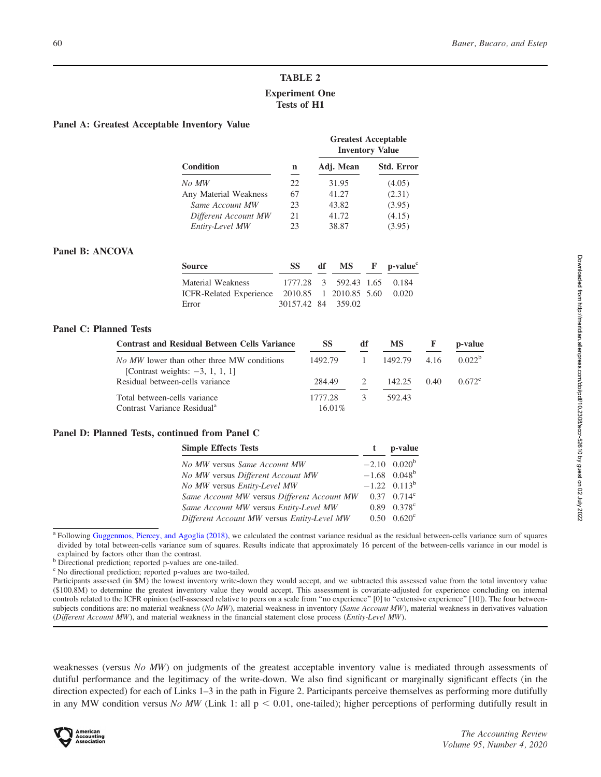# TABLE 2 Experiment One Tests of H1

#### Panel A: Greatest Acceptable Inventory Value

|                       |     |           | <b>Greatest Acceptable</b><br><b>Inventory Value</b> |
|-----------------------|-----|-----------|------------------------------------------------------|
| <b>Condition</b>      | n   | Adj. Mean | <b>Std. Error</b>                                    |
| No MW                 | 22. | 31.95     | (4.05)                                               |
| Any Material Weakness | 67  | 41.27     | (2.31)                                               |
| Same Account MW       | 23  | 43.82     | (3.95)                                               |
| Different Account MW  | 21  | 41.72     | (4.15)                                               |
| Entity-Level MW       | 23  | 38.87     | (3.95)                                               |

#### Panel B: ANCOVA

| <b>Source</b>                                        | SS.                         | df $MS$ F p-value <sup>c</sup> |  |
|------------------------------------------------------|-----------------------------|--------------------------------|--|
| Material Weakness                                    | 1777.28 3 592.43 1.65 0.184 |                                |  |
| ICFR-Related Experience 2010.85 1 2010.85 5.60 0.020 |                             |                                |  |
| Error                                                | 30157.42 84 359.02          |                                |  |

#### Panel C: Planned Tests

| <b>Contrast and Residual Between Cells Variance</b>                                     | SS        | df            | <b>MS</b> | F    | p-value         |
|-----------------------------------------------------------------------------------------|-----------|---------------|-----------|------|-----------------|
| <i>No MW</i> lower than other three MW conditions<br>[Contrast weights: $-3$ , 1, 1, 1] | 1492.79   | $\sim$ 1      | 1492.79   | 4.16 | $0.022^b$       |
| Residual between-cells variance                                                         | 284.49    | $\mathcal{L}$ | 142.25    | 0.40 | $0.672^{\circ}$ |
| Total between-cells variance                                                            | 1777.28   |               | 592.43    |      |                 |
| Contrast Variance Residual <sup>a</sup>                                                 | $16.01\%$ |               |           |      |                 |

#### Panel D: Planned Tests, continued from Panel C

| <b>Simple Effects Tests</b>                 | p-value                    |
|---------------------------------------------|----------------------------|
| No MW versus Same Account MW                | $-2.10$ 0.020 <sup>b</sup> |
| No MW versus Different Account MW           | $-1.68$ 0.048 <sup>b</sup> |
| No MW versus Entity-Level MW                | $-1.22$ 0.113 <sup>b</sup> |
| Same Account MW versus Different Account MW | $0.37 \quad 0.714^c$       |
| Same Account MW versus Entity-Level MW      | $0.89$ $0.378$ °           |
| Different Account MW versus Entity-Level MW | $0.50 \quad 0.620^{\circ}$ |

<sup>a</sup> Following [Guggenmos, Piercey, and Agoglia \(2018\)](#page-18-0), we calculated the contrast variance residual as the residual between-cells variance sum of squares divided by total between-cells variance sum of squares. Results indicate that approximately 16 percent of the between-cells variance in our model is explained by factors other than the contrast.

b Directional prediction; reported p-values are one-tailed.

<sup>c</sup> No directional prediction; reported p-values are two-tailed.

Participants assessed (in \$M) the lowest inventory write-down they would accept, and we subtracted this assessed value from the total inventory value (\$100.8M) to determine the greatest inventory value they would accept. This assessment is covariate-adjusted for experience concluding on internal controls related to the ICFR opinion (self-assessed relative to peers on a scale from "no experience" [0] to "extensive experience" [10]). The four betweensubjects conditions are: no material weakness (No MW), material weakness in inventory (Same Account MW), material weakness in derivatives valuation (Different Account MW), and material weakness in the financial statement close process (Entity-Level MW).

weaknesses (versus No MW) on judgments of the greatest acceptable inventory value is mediated through assessments of dutiful performance and the legitimacy of the write-down. We also find significant or marginally significant effects (in the direction expected) for each of Links 1–3 in the path in Figure 2. Participants perceive themselves as performing more dutifully in any MW condition versus No MW (Link 1: all  $p < 0.01$ , one-tailed); higher perceptions of performing dutifully result in

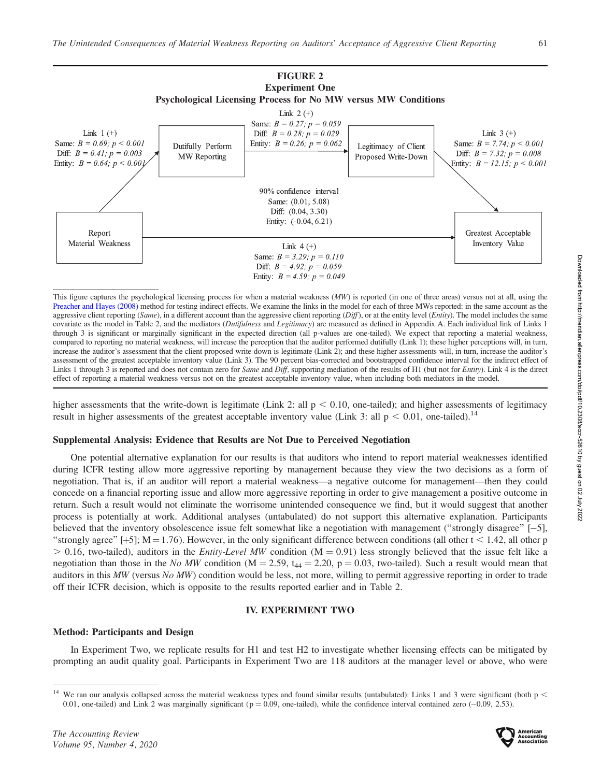

This figure captures the psychological licensing process for when a material weakness  $(MW)$  is reported (in one of three areas) versus not at all, using the [Preacher and Hayes \(2008\)](#page-19-0) method for testing indirect effects. We examine the links in the model for each of three MWs reported: in the same account as the aggressive client reporting (Same), in a different account than the aggressive client reporting  $(Diff)$ , or at the entity level (Entity). The model includes the same covariate as the model in Table 2, and the mediators (Dutifulness and Legitimacy) are measured as defined in Appendix A. Each individual link of Links 1 through 3 is significant or marginally significant in the expected direction (all p-values are one-tailed). We expect that reporting a material weakness, compared to reporting no material weakness, will increase the perception that the auditor performed dutifully (Link 1); these higher perceptions will, in turn, increase the auditor's assessment that the client proposed write-down is legitimate (Link 2); and these higher assessments will, in turn, increase the auditor's assessment of the greatest acceptable inventory value (Link 3). The 90 percent bias-corrected and bootstrapped confidence interval for the indirect effect of Links 1 through 3 is reported and does not contain zero for Same and Diff, supporting mediation of the results of H1 (but not for Entity). Link 4 is the direct effect of reporting a material weakness versus not on the greatest acceptable inventory value, when including both mediators in the model.

higher assessments that the write-down is legitimate (Link 2: all  $p < 0.10$ , one-tailed); and higher assessments of legitimacy result in higher assessments of the greatest acceptable inventory value (Link 3: all  $p < 0.01$ , one-tailed).<sup>14</sup>

#### Supplemental Analysis: Evidence that Results are Not Due to Perceived Negotiation

One potential alternative explanation for our results is that auditors who intend to report material weaknesses identified during ICFR testing allow more aggressive reporting by management because they view the two decisions as a form of negotiation. That is, if an auditor will report a material weakness—a negative outcome for management—then they could concede on a financial reporting issue and allow more aggressive reporting in order to give management a positive outcome in return. Such a result would not eliminate the worrisome unintended consequence we find, but it would suggest that another process is potentially at work. Additional analyses (untabulated) do not support this alternative explanation. Participants believed that the inventory obsolescence issue felt somewhat like a negotiation with management (''strongly disagree'' [-5], "strongly agree" [ $+5$ ]; M = 1.76). However, in the only significant difference between conditions (all other t < 1.42, all other p  $> 0.16$ , two-tailed), auditors in the *Entity-Level MW* condition (M = 0.91) less strongly believed that the issue felt like a negotiation than those in the No MW condition (M = 2.59,  $t_{44}$  = 2.20, p = 0.03, two-tailed). Such a result would mean that auditors in this MW (versus No MW) condition would be less, not more, willing to permit aggressive reporting in order to trade off their ICFR decision, which is opposite to the results reported earlier and in Table 2.

#### IV. EXPERIMENT TWO

#### Method: Participants and Design

In Experiment Two, we replicate results for H1 and test H2 to investigate whether licensing effects can be mitigated by prompting an audit quality goal. Participants in Experiment Two are 118 auditors at the manager level or above, who were



<sup>&</sup>lt;sup>14</sup> We ran our analysis collapsed across the material weakness types and found similar results (untabulated): Links 1 and 3 were significant (both  $p <$ 0.01, one-tailed) and Link 2 was marginally significant ( $p = 0.09$ , one-tailed), while the confidence interval contained zero  $(-0.09, 2.53)$ .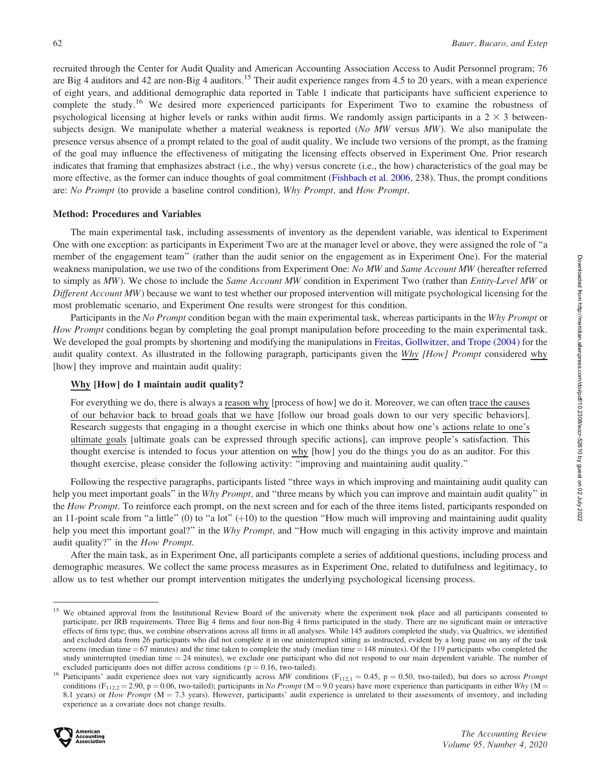recruited through the Center for Audit Quality and American Accounting Association Access to Audit Personnel program; 76 are Big 4 auditors and 42 are non-Big 4 auditors.<sup>15</sup> Their audit experience ranges from 4.5 to 20 years, with a mean experience of eight years, and additional demographic data reported in Table 1 indicate that participants have sufficient experience to complete the study.<sup>16</sup> We desired more experienced participants for Experiment Two to examine the robustness of psychological licensing at higher levels or ranks within audit firms. We randomly assign participants in a  $2 \times 3$  betweensubjects design. We manipulate whether a material weakness is reported (No MW versus MW). We also manipulate the presence versus absence of a prompt related to the goal of audit quality. We include two versions of the prompt, as the framing of the goal may influence the effectiveness of mitigating the licensing effects observed in Experiment One. Prior research indicates that framing that emphasizes abstract (i.e., the why) versus concrete (i.e., the how) characteristics of the goal may be more effective, as the former can induce thoughts of goal commitment [\(Fishbach et al. 2006](#page-18-0), 238). Thus, the prompt conditions are: No Prompt (to provide a baseline control condition), Why Prompt, and How Prompt.

#### Method: Procedures and Variables

The main experimental task, including assessments of inventory as the dependent variable, was identical to Experiment One with one exception: as participants in Experiment Two are at the manager level or above, they were assigned the role of ''a member of the engagement team'' (rather than the audit senior on the engagement as in Experiment One). For the material weakness manipulation, we use two of the conditions from Experiment One: No MW and Same Account MW (hereafter referred to simply as MW). We chose to include the Same Account MW condition in Experiment Two (rather than Entity-Level MW or Different Account MW) because we want to test whether our proposed intervention will mitigate psychological licensing for the most problematic scenario, and Experiment One results were strongest for this condition.

Participants in the No Prompt condition began with the main experimental task, whereas participants in the Why Prompt or How Prompt conditions began by completing the goal prompt manipulation before proceeding to the main experimental task. We developed the goal prompts by shortening and modifying the manipulations in [Freitas, Gollwitzer, and Trope \(2004\)](#page-18-0) for the audit quality context. As illustrated in the following paragraph, participants given the Why [How] Prompt considered why [how] they improve and maintain audit quality:

## Why [How] do I maintain audit quality?

For everything we do, there is always a reason why [process of how] we do it. Moreover, we can often trace the causes of our behavior back to broad goals that we have [follow our broad goals down to our very specific behaviors]. Research suggests that engaging in a thought exercise in which one thinks about how one's actions relate to one's ultimate goals [ultimate goals can be expressed through specific actions], can improve people's satisfaction. This thought exercise is intended to focus your attention on why [how] you do the things you do as an auditor. For this thought exercise, please consider the following activity: ''improving and maintaining audit quality.''

Following the respective paragraphs, participants listed ''three ways in which improving and maintaining audit quality can help you meet important goals" in the Why Prompt, and "three means by which you can improve and maintain audit quality" in the How Prompt. To reinforce each prompt, on the next screen and for each of the three items listed, participants responded on an 11-point scale from "a little" (0) to "a lot"  $(+10)$  to the question "How much will improving and maintaining audit quality help you meet this important goal?" in the Why Prompt, and "How much will engaging in this activity improve and maintain audit quality?'' in the How Prompt.

After the main task, as in Experiment One, all participants complete a series of additional questions, including process and demographic measures. We collect the same process measures as in Experiment One, related to dutifulness and legitimacy, to allow us to test whether our prompt intervention mitigates the underlying psychological licensing process.

<sup>&</sup>lt;sup>15</sup> We obtained approval from the Institutional Review Board of the university where the experiment took place and all participants consented to participate, per IRB requirements. Three Big 4 firms and four non-Big 4 firms participated in the study. There are no significant main or interactive effects of firm type; thus, we combine observations across all firms in all analyses. While 145 auditors completed the study, via Qualtrics, we identified and excluded data from 26 participants who did not complete it in one uninterrupted sitting as instructed, evident by a long pause on any of the task screens (median time  $= 67$  minutes) and the time taken to complete the study (median time  $= 148$  minutes). Of the 119 participants who completed the study uninterrupted (median time  $= 24$  minutes), we exclude one participant who did not respond to our main dependent variable. The number of

excluded participants does not differ across conditions ( $p = 0.16$ , two-tailed).<br><sup>16</sup> Participants' audit experience does not vary significantly across MW conditions ( $F_{112,1} = 0.45$ ,  $p = 0.50$ , two-tailed), but does so conditions (F<sub>112,2</sub> = 2.90, p = 0.06, two-tailed); participants in No Prompt (M = 9.0 years) have more experience than participants in either Why (M = 8.1 years) or How Prompt ( $M = 7.3$  years). However, participants' audit experience is unrelated to their assessments of inventory, and including experience as a covariate does not change results.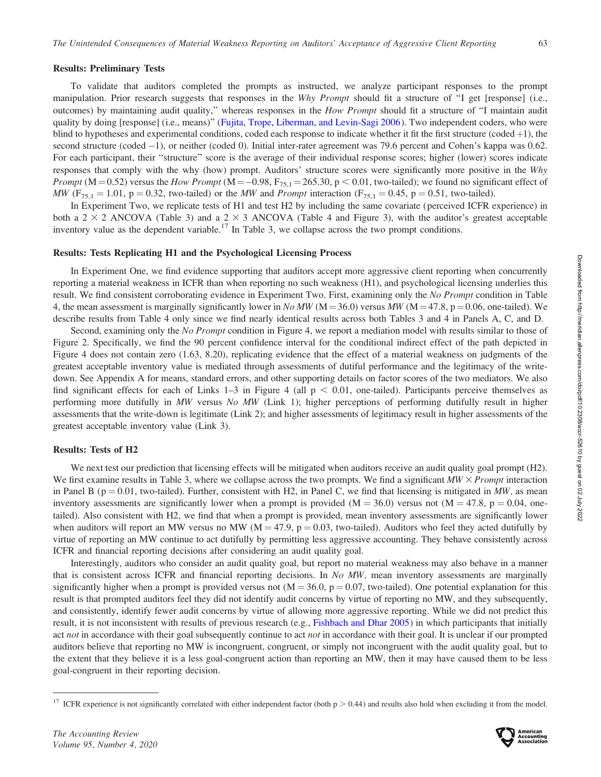#### Results: Preliminary Tests

To validate that auditors completed the prompts as instructed, we analyze participant responses to the prompt manipulation. Prior research suggests that responses in the Why Prompt should fit a structure of "I get [response] (i.e., outcomes) by maintaining audit quality," whereas responses in the *How Prompt* should fit a structure of "I maintain audit quality by doing [response] (i.e., means)'' ([Fujita, Trope, Liberman, and Levin-Sagi 2006](#page-18-0)). Two independent coders, who were blind to hypotheses and experimental conditions, coded each response to indicate whether it fit the first structure (coded  $+1$ ), the second structure (coded -1), or neither (coded 0). Initial inter-rater agreement was 79.6 percent and Cohen's kappa was 0.62. For each participant, their "structure" score is the average of their individual response scores; higher (lower) scores indicate responses that comply with the why (how) prompt. Auditors' structure scores were significantly more positive in the Why *Prompt* ( $M = 0.52$ ) versus the *How Prompt* ( $M = -0.98$ ,  $F_{75,1} = 265.30$ ,  $p < 0.01$ , two-tailed); we found no significant effect of MW (F<sub>75,1</sub> = 1.01, p = 0.32, two-tailed) or the MW and *Prompt* interaction (F<sub>75,1</sub> = 0.45, p = 0.51, two-tailed).

In Experiment Two, we replicate tests of H1 and test H2 by including the same covariate (perceived ICFR experience) in both a 2  $\times$  2 ANCOVA (Table 3) and a 2  $\times$  3 ANCOVA (Table 4 and Figure 3), with the auditor's greatest acceptable inventory value as the dependent variable.<sup>17</sup> In Table 3, we collapse across the two prompt conditions.

#### Results: Tests Replicating H1 and the Psychological Licensing Process

In Experiment One, we find evidence supporting that auditors accept more aggressive client reporting when concurrently reporting a material weakness in ICFR than when reporting no such weakness (H1), and psychological licensing underlies this result. We find consistent corroborating evidence in Experiment Two. First, examining only the No Prompt condition in Table 4, the mean assessment is marginally significantly lower in No MW ( $M = 36.0$ ) versus MW ( $M = 47.8$ , p = 0.06, one-tailed). We describe results from Table 4 only since we find nearly identical results across both Tables 3 and 4 in Panels A, C, and D.

Second, examining only the No Prompt condition in Figure 4, we report a mediation model with results similar to those of Figure 2. Specifically, we find the 90 percent confidence interval for the conditional indirect effect of the path depicted in Figure 4 does not contain zero (1.63, 8.20), replicating evidence that the effect of a material weakness on judgments of the greatest acceptable inventory value is mediated through assessments of dutiful performance and the legitimacy of the writedown. See Appendix A for means, standard errors, and other supporting details on factor scores of the two mediators. We also find significant effects for each of Links 1–3 in Figure 4 (all  $p < 0.01$ , one-tailed). Participants perceive themselves as performing more dutifully in MW versus No MW (Link 1); higher perceptions of performing dutifully result in higher assessments that the write-down is legitimate (Link 2); and higher assessments of legitimacy result in higher assessments of the greatest acceptable inventory value (Link 3).

#### Results: Tests of H2

We next test our prediction that licensing effects will be mitigated when auditors receive an audit quality goal prompt (H2). We first examine results in Table 3, where we collapse across the two prompts. We find a significant  $MW \times Prompt$  interaction in Panel B ( $p = 0.01$ , two-tailed). Further, consistent with H2, in Panel C, we find that licensing is mitigated in MW, as mean inventory assessments are significantly lower when a prompt is provided ( $M = 36.0$ ) versus not ( $M = 47.8$ ,  $p = 0.04$ , onetailed). Also consistent with H2, we find that when a prompt is provided, mean inventory assessments are significantly lower when auditors will report an MW versus no MW ( $M = 47.9$ ,  $p = 0.03$ , two-tailed). Auditors who feel they acted dutifully by virtue of reporting an MW continue to act dutifully by permitting less aggressive accounting. They behave consistently across ICFR and financial reporting decisions after considering an audit quality goal.

Interestingly, auditors who consider an audit quality goal, but report no material weakness may also behave in a manner that is consistent across ICFR and financial reporting decisions. In No MW, mean inventory assessments are marginally significantly higher when a prompt is provided versus not  $(M = 36.0, p = 0.07, two-tailed)$ . One potential explanation for this result is that prompted auditors feel they did not identify audit concerns by virtue of reporting no MW, and they subsequently, and consistently, identify fewer audit concerns by virtue of allowing more aggressive reporting. While we did not predict this result, it is not inconsistent with results of previous research (e.g., [Fishbach and Dhar 2005](#page-18-0)) in which participants that initially act not in accordance with their goal subsequently continue to act not in accordance with their goal. It is unclear if our prompted auditors believe that reporting no MW is incongruent, congruent, or simply not incongruent with the audit quality goal, but to the extent that they believe it is a less goal-congruent action than reporting an MW, then it may have caused them to be less goal-congruent in their reporting decision.



<sup>&</sup>lt;sup>17</sup> ICFR experience is not significantly correlated with either independent factor (both  $p > 0.44$ ) and results also hold when excluding it from the model.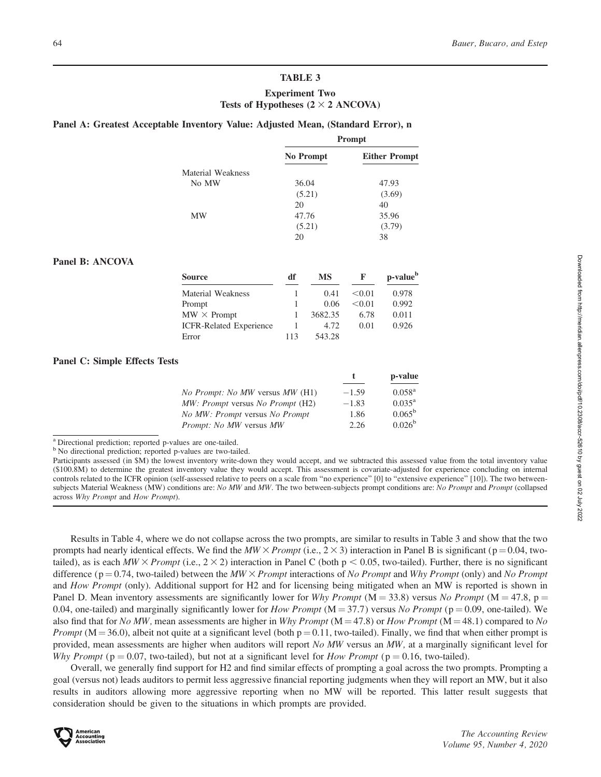# TABLE 3 Experiment Two

# Tests of Hypotheses  $(2 \times 2$  ANCOVA)

# Panel A: Greatest Acceptable Inventory Value: Adjusted Mean, (Standard Error), n

|                   | Prompt    |                      |  |
|-------------------|-----------|----------------------|--|
|                   | No Prompt | <b>Either Prompt</b> |  |
| Material Weakness |           |                      |  |
| No MW             | 36.04     | 47.93                |  |
|                   | (5.21)    | (3.69)               |  |
|                   | 20        | 40                   |  |
| MW                | 47.76     | 35.96                |  |
|                   | (5.21)    | (3.79)               |  |
|                   | 20        | 38                   |  |

# Panel B: ANCOVA

| Source                         | df  | MS      | F      | p-value <sup>b</sup> |
|--------------------------------|-----|---------|--------|----------------------|
| Material Weakness              |     | 0.41    | < 0.01 | 0.978                |
| Prompt                         |     | 0.06    | < 0.01 | 0.992                |
| $MW \times$ Prompt             |     | 3682.35 | 6.78   | 0.011                |
| <b>ICFR-Related Experience</b> |     | 4.72    | 0.01   | 0.926                |
| Error                          | 113 | 543.28  |        |                      |

# Panel C: Simple Effects Tests

|                                         |         | p-value         |
|-----------------------------------------|---------|-----------------|
| <i>No Prompt: No MW versus MW (H1)</i>  | $-1.59$ | $0.058^{\rm a}$ |
| <i>MW: Prompt versus No Prompt</i> (H2) | $-1.83$ | $0.035^{\rm a}$ |
| <i>No MW: Prompt versus No Prompt</i>   | 1.86    | $0.065^{\rm b}$ |
| <i>Prompt: No MW versus MW</i>          | 2.26    | $0.026^{\rm b}$ |
|                                         |         |                 |

<sup>a</sup> Directional prediction; reported p-values are one-tailed.

<sup>b</sup> No directional prediction; reported p-values are two-tailed.

Results in Table 4, where we do not collapse across the two prompts, are similar to results in Table 3 and show that the two prompts had nearly identical effects. We find the  $MW \times Prompt$  (i.e., 2  $\times$  3) interaction in Panel B is significant (p = 0.04, twotailed), as is each  $MW \times$  *Prompt* (i.e.,  $2 \times 2$ ) interaction in Panel C (both p < 0.05, two-tailed). Further, there is no significant difference ( $p = 0.74$ , two-tailed) between the MW  $\times$  Prompt interactions of No Prompt and Why Prompt (only) and No Prompt and How Prompt (only). Additional support for H2 and for licensing being mitigated when an MW is reported is shown in Panel D. Mean inventory assessments are significantly lower for Why Prompt (M = 33.8) versus No Prompt (M = 47.8, p = 0.04, one-tailed) and marginally significantly lower for *How Prompt* ( $M = 37.7$ ) versus *No Prompt* ( $p = 0.09$ , one-tailed). We also find that for No MW, mean assessments are higher in Why Prompt ( $M = 47.8$ ) or How Prompt ( $M = 48.1$ ) compared to No *Prompt* ( $M = 36.0$ ), albeit not quite at a significant level (both  $p = 0.11$ , two-tailed). Finally, we find that when either prompt is provided, mean assessments are higher when auditors will report  $No$  MW versus an MW, at a marginally significant level for Why Prompt ( $p = 0.07$ , two-tailed), but not at a significant level for How Prompt ( $p = 0.16$ , two-tailed).

Overall, we generally find support for H2 and find similar effects of prompting a goal across the two prompts. Prompting a goal (versus not) leads auditors to permit less aggressive financial reporting judgments when they will report an MW, but it also results in auditors allowing more aggressive reporting when no MW will be reported. This latter result suggests that consideration should be given to the situations in which prompts are provided.



Participants assessed (in \$M) the lowest inventory write-down they would accept, and we subtracted this assessed value from the total inventory value (\$100.8M) to determine the greatest inventory value they would accept. This assessment is covariate-adjusted for experience concluding on internal controls related to the ICFR opinion (self-assessed relative to peers on a scale from "no experience" [0] to "extensive experience" [10]). The two betweensubjects Material Weakness (MW) conditions are: No MW and MW. The two between-subjects prompt conditions are: No Prompt and Prompt (collapsed across Why Prompt and How Prompt).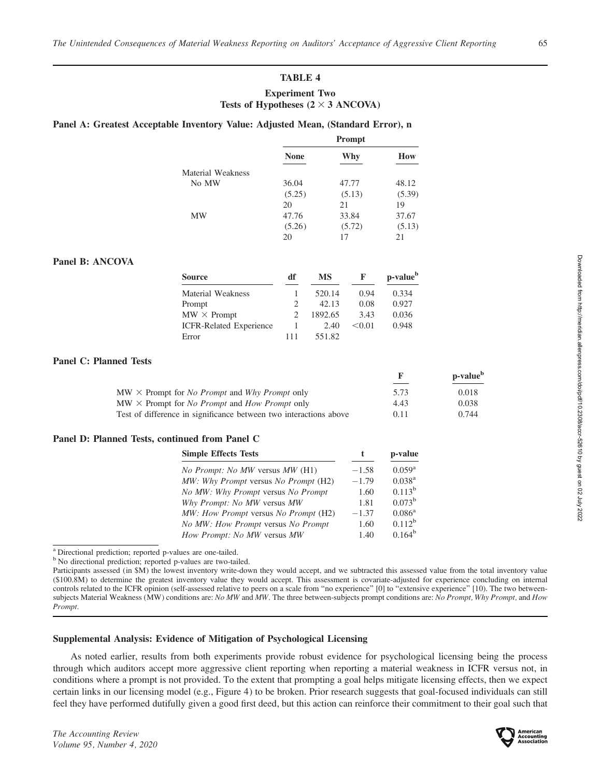# TABLE 4

# Experiment Two Tests of Hypotheses  $(2 \times 3$  ANCOVA)

# Panel A: Greatest Acceptable Inventory Value: Adjusted Mean, (Standard Error), n

|                          | Prompt      |        |        |
|--------------------------|-------------|--------|--------|
|                          | <b>None</b> | Why    | How    |
| <b>Material Weakness</b> |             |        |        |
| No MW                    | 36.04       | 47.77  | 48.12  |
|                          | (5.25)      | (5.13) | (5.39) |
|                          | 20          | 21     | 19     |
| MW                       | 47.76       | 33.84  | 37.67  |
|                          | (5.26)      | (5.72) | (5.13) |
|                          | 20          | 17     | 21     |

#### Panel B: ANCOVA

| Source                         | df                          | <b>MS</b> | F      | p-value <sup>b</sup> |
|--------------------------------|-----------------------------|-----------|--------|----------------------|
| Material Weakness              |                             | 520.14    | 0.94   | 0.334                |
| Prompt                         | $\mathcal{L}$               | 42.13     | 0.08   | 0.927                |
| $MW \times$ Prompt             | $\mathcal{D}_{\mathcal{L}}$ | 1892.65   | 3.43   | 0.036                |
| <b>ICFR-Related Experience</b> |                             | 2.40      | < 0.01 | 0.948                |
| Error                          | 111                         | 551.82    |        |                      |

#### Panel C: Planned Tests

|                                                                                  | к,   | p-value <sup>b</sup> |
|----------------------------------------------------------------------------------|------|----------------------|
| $MW \times$ Prompt for <i>No Prompt</i> and <i>Why Prompt</i> only               | 5.73 | 0.018                |
| $\text{MW} \times \text{Prompt}$ for <i>No Prompt</i> and <i>How Prompt</i> only | 4.43 | 0.038                |
| Test of difference in significance between two interactions above                | 0.11 | 0.744                |

## Panel D: Planned Tests, continued from Panel C

| <b>Simple Effects Tests</b>            |         | p-value         |  |
|----------------------------------------|---------|-----------------|--|
| <i>No Prompt: No MW versus MW (H1)</i> | $-1.58$ | $0.059^{\rm a}$ |  |
| MW: Why Prompt versus No Prompt (H2)   | $-1.79$ | $0.038^{a}$     |  |
| No MW: Why Prompt versus No Prompt     | 1.60    | $0.113^b$       |  |
| Why Prompt: No MW versus MW            | 1.81    | $0.073^{\rm b}$ |  |
| MW: How Prompt versus No Prompt (H2)   | $-1.37$ | $0.086^{\rm a}$ |  |
| No MW: How Prompt versus No Prompt     | 1.60    | $0.112^b$       |  |
| How Prompt: No MW versus MW            | 1.40    | $0.164^b$       |  |

<sup>a</sup> Directional prediction; reported p-values are one-tailed.

<sup>b</sup> No directional prediction; reported p-values are two-tailed.

Participants assessed (in \$M) the lowest inventory write-down they would accept, and we subtracted this assessed value from the total inventory value (\$100.8M) to determine the greatest inventory value they would accept. This assessment is covariate-adjusted for experience concluding on internal controls related to the ICFR opinion (self-assessed relative to peers on a scale from ''no experience'' [0] to ''extensive experience'' [10). The two betweensubjects Material Weakness (MW) conditions are: No MW and MW. The three between-subjects prompt conditions are: No Prompt, Why Prompt, and How Prompt.

#### Supplemental Analysis: Evidence of Mitigation of Psychological Licensing

As noted earlier, results from both experiments provide robust evidence for psychological licensing being the process through which auditors accept more aggressive client reporting when reporting a material weakness in ICFR versus not, in conditions where a prompt is not provided. To the extent that prompting a goal helps mitigate licensing effects, then we expect certain links in our licensing model (e.g., Figure 4) to be broken. Prior research suggests that goal-focused individuals can still feel they have performed dutifully given a good first deed, but this action can reinforce their commitment to their goal such that

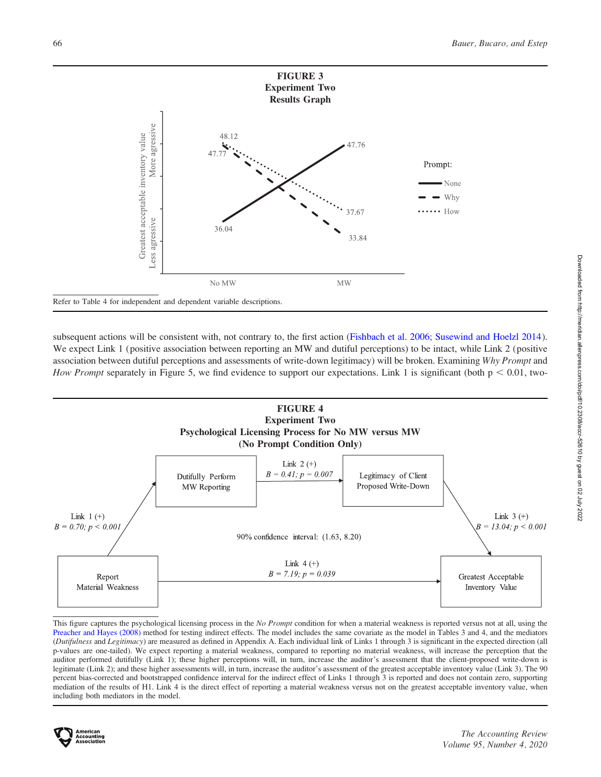

subsequent actions will be consistent with, not contrary to, the first action [\(Fishbach et al. 2006;](#page-18-0) [Susewind and Hoelzl 2014](#page-19-0)). We expect Link 1 (positive association between reporting an MW and dutiful perceptions) to be intact, while Link 2 (positive association between dutiful perceptions and assessments of write-down legitimacy) will be broken. Examining Why Prompt and How Prompt separately in Figure 5, we find evidence to support our expectations. Link 1 is significant (both  $p < 0.01$ , two-



This figure captures the psychological licensing process in the No Prompt condition for when a material weakness is reported versus not at all, using the [Preacher and Hayes \(2008\)](#page-19-0) method for testing indirect effects. The model includes the same covariate as the model in Tables 3 and 4, and the mediators (Dutifulness and Legitimacy) are measured as defined in Appendix A. Each individual link of Links 1 through 3 is significant in the expected direction (all p-values are one-tailed). We expect reporting a material weakness, compared to reporting no material weakness, will increase the perception that the auditor performed dutifully (Link 1); these higher perceptions will, in turn, increase the auditor's assessment that the client-proposed write-down is legitimate (Link 2); and these higher assessments will, in turn, increase the auditor's assessment of the greatest acceptable inventory value (Link 3). The 90 percent bias-corrected and bootstrapped confidence interval for the indirect effect of Links 1 through 3 is reported and does not contain zero, supporting mediation of the results of H1. Link 4 is the direct effect of reporting a material weakness versus not on the greatest acceptable inventory value, when including both mediators in the model.

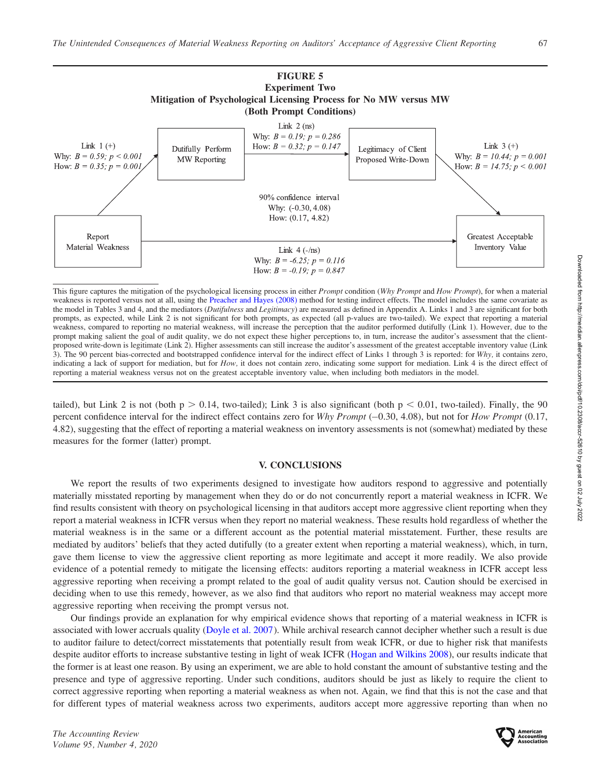

This figure captures the mitigation of the psychological licensing process in either Prompt condition (Why Prompt and How Prompt), for when a material weakness is reported versus not at all, using the [Preacher and Hayes \(2008\)](#page-19-0) method for testing indirect effects. The model includes the same covariate as the model in Tables 3 and 4, and the mediators (Dutifulness and Legitimacy) are measured as defined in Appendix A. Links 1 and 3 are significant for both prompts, as expected, while Link 2 is not significant for both prompts, as expected (all p-values are two-tailed). We expect that reporting a material weakness, compared to reporting no material weakness, will increase the perception that the auditor performed dutifully (Link 1). However, due to the prompt making salient the goal of audit quality, we do not expect these higher perceptions to, in turn, increase the auditor's assessment that the clientproposed write-down is legitimate (Link 2). Higher assessments can still increase the auditor's assessment of the greatest acceptable inventory value (Link 3). The 90 percent bias-corrected and bootstrapped confidence interval for the indirect effect of Links 1 through 3 is reported: for Why, it contains zero, indicating a lack of support for mediation, but for  $How$ , it does not contain zero, indicating some support for mediation. Link 4 is the direct effect of reporting a material weakness versus not on the greatest acceptable inventory value, when including both mediators in the model.

tailed), but Link 2 is not (both  $p > 0.14$ , two-tailed); Link 3 is also significant (both  $p < 0.01$ , two-tailed). Finally, the 90 percent confidence interval for the indirect effect contains zero for Why Prompt  $(-0.30, 4.08)$ , but not for How Prompt  $(0.17, 0.00)$ 4.82), suggesting that the effect of reporting a material weakness on inventory assessments is not (somewhat) mediated by these measures for the former (latter) prompt.

#### V. CONCLUSIONS

We report the results of two experiments designed to investigate how auditors respond to aggressive and potentially materially misstated reporting by management when they do or do not concurrently report a material weakness in ICFR. We find results consistent with theory on psychological licensing in that auditors accept more aggressive client reporting when they report a material weakness in ICFR versus when they report no material weakness. These results hold regardless of whether the material weakness is in the same or a different account as the potential material misstatement. Further, these results are mediated by auditors' beliefs that they acted dutifully (to a greater extent when reporting a material weakness), which, in turn, gave them license to view the aggressive client reporting as more legitimate and accept it more readily. We also provide evidence of a potential remedy to mitigate the licensing effects: auditors reporting a material weakness in ICFR accept less aggressive reporting when receiving a prompt related to the goal of audit quality versus not. Caution should be exercised in deciding when to use this remedy, however, as we also find that auditors who report no material weakness may accept more aggressive reporting when receiving the prompt versus not.

Our findings provide an explanation for why empirical evidence shows that reporting of a material weakness in ICFR is associated with lower accruals quality ([Doyle et al. 2007](#page-18-0)). While archival research cannot decipher whether such a result is due to auditor failure to detect/correct misstatements that potentially result from weak ICFR, or due to higher risk that manifests despite auditor efforts to increase substantive testing in light of weak ICFR [\(Hogan and Wilkins 2008](#page-18-0)), our results indicate that the former is at least one reason. By using an experiment, we are able to hold constant the amount of substantive testing and the presence and type of aggressive reporting. Under such conditions, auditors should be just as likely to require the client to correct aggressive reporting when reporting a material weakness as when not. Again, we find that this is not the case and that for different types of material weakness across two experiments, auditors accept more aggressive reporting than when no

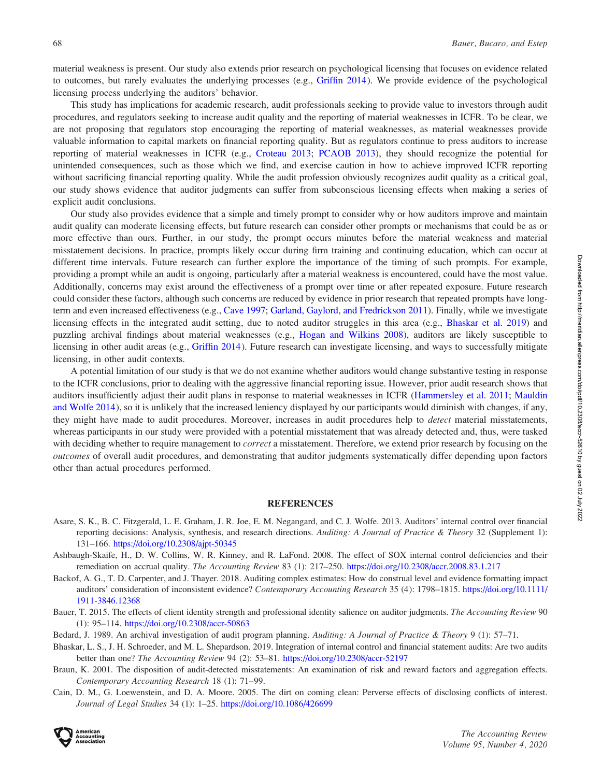<span id="page-17-0"></span>material weakness is present. Our study also extends prior research on psychological licensing that focuses on evidence related to outcomes, but rarely evaluates the underlying processes (e.g., [Griffin 2014](#page-18-0)). We provide evidence of the psychological licensing process underlying the auditors' behavior.

This study has implications for academic research, audit professionals seeking to provide value to investors through audit procedures, and regulators seeking to increase audit quality and the reporting of material weaknesses in ICFR. To be clear, we are not proposing that regulators stop encouraging the reporting of material weaknesses, as material weaknesses provide valuable information to capital markets on financial reporting quality. But as regulators continue to press auditors to increase reporting of material weaknesses in ICFR (e.g., [Croteau 2013](#page-18-0); [PCAOB 2013\)](#page-19-0), they should recognize the potential for unintended consequences, such as those which we find, and exercise caution in how to achieve improved ICFR reporting without sacrificing financial reporting quality. While the audit profession obviously recognizes audit quality as a critical goal, our study shows evidence that auditor judgments can suffer from subconscious licensing effects when making a series of explicit audit conclusions.

Our study also provides evidence that a simple and timely prompt to consider why or how auditors improve and maintain audit quality can moderate licensing effects, but future research can consider other prompts or mechanisms that could be as or more effective than ours. Further, in our study, the prompt occurs minutes before the material weakness and material misstatement decisions. In practice, prompts likely occur during firm training and continuing education, which can occur at different time intervals. Future research can further explore the importance of the timing of such prompts. For example, providing a prompt while an audit is ongoing, particularly after a material weakness is encountered, could have the most value. Additionally, concerns may exist around the effectiveness of a prompt over time or after repeated exposure. Future research could consider these factors, although such concerns are reduced by evidence in prior research that repeated prompts have longterm and even increased effectiveness (e.g., [Cave 1997;](#page-18-0) [Garland, Gaylord, and Fredrickson 2011](#page-18-0)). Finally, while we investigate licensing effects in the integrated audit setting, due to noted auditor struggles in this area (e.g., Bhaskar et al. 2019) and puzzling archival findings about material weaknesses (e.g., [Hogan and Wilkins 2008](#page-18-0)), auditors are likely susceptible to licensing in other audit areas (e.g., [Griffin 2014](#page-18-0)). Future research can investigate licensing, and ways to successfully mitigate licensing, in other audit contexts.

A potential limitation of our study is that we do not examine whether auditors would change substantive testing in response to the ICFR conclusions, prior to dealing with the aggressive financial reporting issue. However, prior audit research shows that auditors insufficiently adjust their audit plans in response to material weaknesses in ICFR ([Hammersley et al. 2011;](#page-18-0) [Mauldin](#page-19-0) [and Wolfe 2014](#page-19-0)), so it is unlikely that the increased leniency displayed by our participants would diminish with changes, if any, they might have made to audit procedures. Moreover, increases in audit procedures help to *detect* material misstatements, whereas participants in our study were provided with a potential misstatement that was already detected and, thus, were tasked with deciding whether to require management to *correct* a misstatement. Therefore, we extend prior research by focusing on the outcomes of overall audit procedures, and demonstrating that auditor judgments systematically differ depending upon factors other than actual procedures performed.

#### **REFERENCES**

- Asare, S. K., B. C. Fitzgerald, L. E. Graham, J. R. Joe, E. M. Negangard, and C. J. Wolfe. 2013. Auditors' internal control over financial reporting decisions: Analysis, synthesis, and research directions. Auditing: A Journal of Practice & Theory 32 (Supplement 1): 131–166. <https://doi.org/10.2308/ajpt-50345>
- Ashbaugh-Skaife, H., D. W. Collins, W. R. Kinney, and R. LaFond. 2008. The effect of SOX internal control deficiencies and their remediation on accrual quality. The Accounting Review 83 (1): 217–250. <https://doi.org/10.2308/accr.2008.83.1.217>
- Backof, A. G., T. D. Carpenter, and J. Thayer. 2018. Auditing complex estimates: How do construal level and evidence formatting impact auditors' consideration of inconsistent evidence? Contemporary Accounting Research 35 (4): 1798–1815. [https://doi.org/10.1111/](https://doi.org/10.1111/1911-3846.12368) [1911-3846.12368](https://doi.org/10.1111/1911-3846.12368)
- Bauer, T. 2015. The effects of client identity strength and professional identity salience on auditor judgments. The Accounting Review 90 (1): 95–114. <https://doi.org/10.2308/accr-50863>
- Bedard, J. 1989. An archival investigation of audit program planning. Auditing: A Journal of Practice & Theory 9 (1): 57–71.
- Bhaskar, L. S., J. H. Schroeder, and M. L. Shepardson. 2019. Integration of internal control and financial statement audits: Are two audits better than one? The Accounting Review 94 (2): 53–81. <https://doi.org/10.2308/accr-52197>
- Braun, K. 2001. The disposition of audit-detected misstatements: An examination of risk and reward factors and aggregation effects. Contemporary Accounting Research 18 (1): 71–99.
- Cain, D. M., G. Loewenstein, and D. A. Moore. 2005. The dirt on coming clean: Perverse effects of disclosing conflicts of interest. Journal of Legal Studies 34 (1): 1–25. <https://doi.org/10.1086/426699>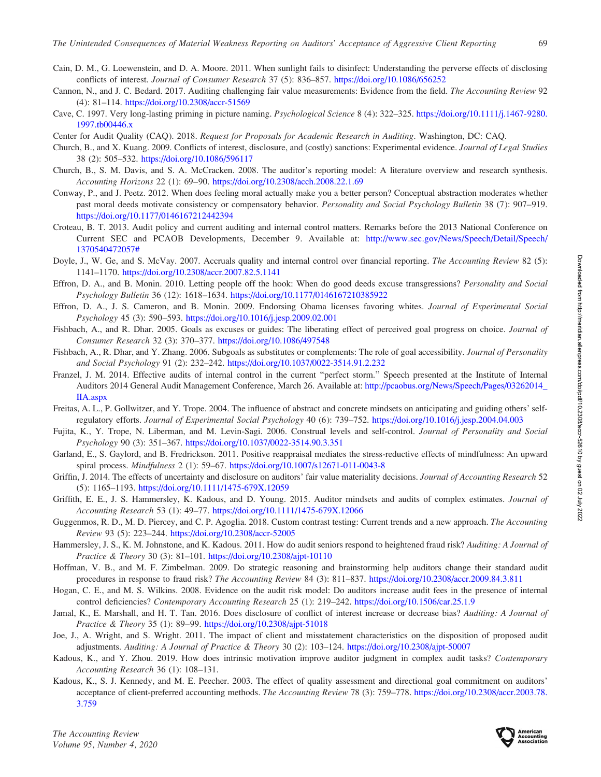- <span id="page-18-0"></span>Cain, D. M., G. Loewenstein, and D. A. Moore. 2011. When sunlight fails to disinfect: Understanding the perverse effects of disclosing conflicts of interest. Journal of Consumer Research 37 (5): 836–857. <https://doi.org/10.1086/656252>
- Cannon, N., and J. C. Bedard. 2017. Auditing challenging fair value measurements: Evidence from the field. The Accounting Review 92 (4): 81–114. <https://doi.org/10.2308/accr-51569>
- Cave, C. 1997. Very long-lasting priming in picture naming. Psychological Science 8 (4): 322–325. [https://doi.org/10.1111/j.1467-9280.](https://doi.org/10.1111/j.1467-9280.1997.tb00446.x) [1997.tb00446.x](https://doi.org/10.1111/j.1467-9280.1997.tb00446.x)
- Center for Audit Quality (CAQ). 2018. Request for Proposals for Academic Research in Auditing. Washington, DC: CAQ.
- Church, B., and X. Kuang. 2009. Conflicts of interest, disclosure, and (costly) sanctions: Experimental evidence. Journal of Legal Studies 38 (2): 505–532. <https://doi.org/10.1086/596117>
- Church, B., S. M. Davis, and S. A. McCracken. 2008. The auditor's reporting model: A literature overview and research synthesis. Accounting Horizons 22 (1): 69–90. <https://doi.org/10.2308/acch.2008.22.1.69>
- Conway, P., and J. Peetz. 2012. When does feeling moral actually make you a better person? Conceptual abstraction moderates whether past moral deeds motivate consistency or compensatory behavior. Personality and Social Psychology Bulletin 38 (7): 907-919. <https://doi.org/10.1177/0146167212442394>
- Croteau, B. T. 2013. Audit policy and current auditing and internal control matters. Remarks before the 2013 National Conference on Current SEC and PCAOB Developments, December 9. Available at: [http://www.sec.gov/News/Speech/Detail/Speech/](http://www.sec.gov/News/Speech/Detail/Speech/1370540472057#) [1370540472057#](http://www.sec.gov/News/Speech/Detail/Speech/1370540472057#)
- Doyle, J., W. Ge, and S. McVay. 2007. Accruals quality and internal control over financial reporting. The Accounting Review 82 (5): 1141–1170. <https://doi.org/10.2308/accr.2007.82.5.1141>
- Effron, D. A., and B. Monin. 2010. Letting people off the hook: When do good deeds excuse transgressions? Personality and Social Psychology Bulletin 36 (12): 1618–1634. <https://doi.org/10.1177/0146167210385922>
- Effron, D. A., J. S. Cameron, and B. Monin. 2009. Endorsing Obama licenses favoring whites. Journal of Experimental Social Psychology 45 (3): 590–593. <https://doi.org/10.1016/j.jesp.2009.02.001>
- Fishbach, A., and R. Dhar. 2005. Goals as excuses or guides: The liberating effect of perceived goal progress on choice. Journal of Consumer Research 32 (3): 370–377. <https://doi.org/10.1086/497548>
- Fishbach, A., R. Dhar, and Y. Zhang. 2006. Subgoals as substitutes or complements: The role of goal accessibility. Journal of Personality and Social Psychology 91 (2): 232–242. <https://doi.org/10.1037/0022-3514.91.2.232>
- Franzel, J. M. 2014. Effective audits of internal control in the current "perfect storm." Speech presented at the Institute of Internal Auditors 2014 General Audit Management Conference, March 26. Available at: [http://pcaobus.org/News/Speech/Pages/03262014\\_](http://pcaobus.org/News/Speech/Pages/03262014_IIA.aspx) [IIA.aspx](http://pcaobus.org/News/Speech/Pages/03262014_IIA.aspx)
- Freitas, A. L., P. Gollwitzer, and Y. Trope. 2004. The influence of abstract and concrete mindsets on anticipating and guiding others' selfregulatory efforts. Journal of Experimental Social Psychology 40 (6): 739–752. <https://doi.org/10.1016/j.jesp.2004.04.003>
- Fujita, K., Y. Trope, N. Liberman, and M. Levin-Sagi. 2006. Construal levels and self-control. Journal of Personality and Social Psychology 90 (3): 351–367. <https://doi.org/10.1037/0022-3514.90.3.351>
- Garland, E., S. Gaylord, and B. Fredrickson. 2011. Positive reappraisal mediates the stress-reductive effects of mindfulness: An upward spiral process. Mindfulness 2 (1): 59–67. <https://doi.org/10.1007/s12671-011-0043-8>
- Griffin, J. 2014. The effects of uncertainty and disclosure on auditors' fair value materiality decisions. Journal of Accounting Research 52 (5): 1165–1193. <https://doi.org/10.1111/1475-679X.12059>
- Griffith, E. E., J. S. Hammersley, K. Kadous, and D. Young. 2015. Auditor mindsets and audits of complex estimates. Journal of Accounting Research 53 (1): 49–77. <https://doi.org/10.1111/1475-679X.12066>
- Guggenmos, R. D., M. D. Piercey, and C. P. Agoglia. 2018. Custom contrast testing: Current trends and a new approach. The Accounting Review 93 (5): 223–244. <https://doi.org/10.2308/accr-52005>
- Hammersley, J. S., K. M. Johnstone, and K. Kadous. 2011. How do audit seniors respond to heightened fraud risk? Auditing: A Journal of Practice & Theory 30 (3): 81–101. <https://doi.org/10.2308/ajpt-10110>
- Hoffman, V. B., and M. F. Zimbelman. 2009. Do strategic reasoning and brainstorming help auditors change their standard audit procedures in response to fraud risk? The Accounting Review 84 (3): 811–837. <https://doi.org/10.2308/accr.2009.84.3.811>
- Hogan, C. E., and M. S. Wilkins. 2008. Evidence on the audit risk model: Do auditors increase audit fees in the presence of internal control deficiencies? Contemporary Accounting Research 25 (1): 219-242. <https://doi.org/10.1506/car.25.1.9>
- Jamal, K., E. Marshall, and H. T. Tan. 2016. Does disclosure of conflict of interest increase or decrease bias? Auditing: A Journal of Practice & Theory 35 (1): 89–99. <https://doi.org/10.2308/ajpt-51018>
- Joe, J., A. Wright, and S. Wright. 2011. The impact of client and misstatement characteristics on the disposition of proposed audit adjustments. Auditing: A Journal of Practice & Theory 30 (2): 103–124. <https://doi.org/10.2308/ajpt-50007>
- Kadous, K., and Y. Zhou. 2019. How does intrinsic motivation improve auditor judgment in complex audit tasks? Contemporary Accounting Research 36 (1): 108–131.
- Kadous, K., S. J. Kennedy, and M. E. Peecher. 2003. The effect of quality assessment and directional goal commitment on auditors' acceptance of client-preferred accounting methods. The Accounting Review 78 (3): 759–778. [https://doi.org/10.2308/accr.2003.78.](https://doi.org/10.2308/accr.2003.78.3.759) [3.759](https://doi.org/10.2308/accr.2003.78.3.759)

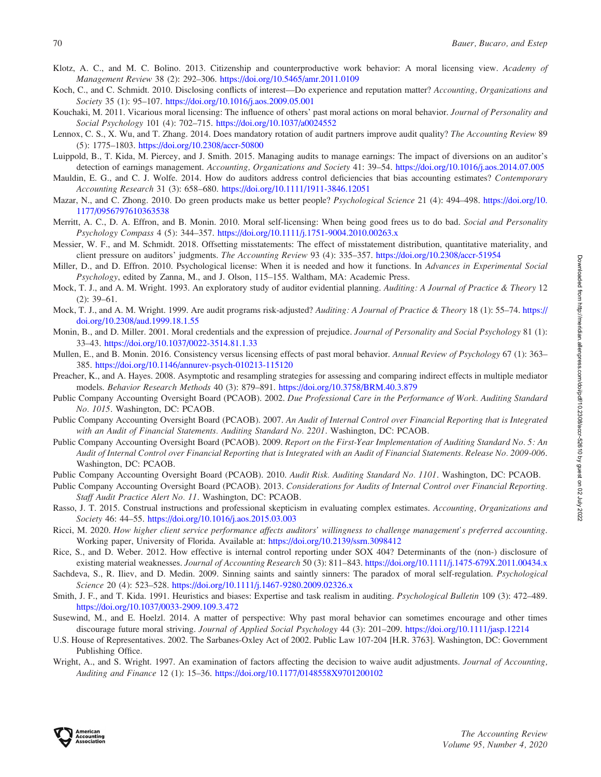- <span id="page-19-0"></span>Klotz, A. C., and M. C. Bolino. 2013. Citizenship and counterproductive work behavior: A moral licensing view. Academy of Management Review 38 (2): 292–306. <https://doi.org/10.5465/amr.2011.0109>
- Koch, C., and C. Schmidt. 2010. Disclosing conflicts of interest—Do experience and reputation matter? Accounting, Organizations and Society 35 (1): 95–107. <https://doi.org/10.1016/j.aos.2009.05.001>
- Kouchaki, M. 2011. Vicarious moral licensing: The influence of others' past moral actions on moral behavior. Journal of Personality and Social Psychology 101 (4): 702–715. <https://doi.org/10.1037/a0024552>
- Lennox, C. S., X. Wu, and T. Zhang. 2014. Does mandatory rotation of audit partners improve audit quality? The Accounting Review 89 (5): 1775–1803. <https://doi.org/10.2308/accr-50800>
- Luippold, B., T. Kida, M. Piercey, and J. Smith. 2015. Managing audits to manage earnings: The impact of diversions on an auditor's detection of earnings management. Accounting, Organizations and Society 41: 39–54. <https://doi.org/10.1016/j.aos.2014.07.005>
- Mauldin, E. G., and C. J. Wolfe. 2014. How do auditors address control deficiencies that bias accounting estimates? Contemporary Accounting Research 31 (3): 658–680. <https://doi.org/10.1111/1911-3846.12051>
- Mazar, N., and C. Zhong. 2010. Do green products make us better people? Psychological Science 21 (4): 494–498. [https://doi.org/10.](https://doi.org/10.1177/0956797610363538) [1177/0956797610363538](https://doi.org/10.1177/0956797610363538)
- Merritt, A. C., D. A. Effron, and B. Monin. 2010. Moral self-licensing: When being good frees us to do bad. Social and Personality Psychology Compass 4 (5): 344–357. <https://doi.org/10.1111/j.1751-9004.2010.00263.x>
- Messier, W. F., and M. Schmidt. 2018. Offsetting misstatements: The effect of misstatement distribution, quantitative materiality, and client pressure on auditors' judgments. The Accounting Review 93 (4): 335–357. <https://doi.org/10.2308/accr-51954>
- Miller, D., and D. Effron. 2010. Psychological license: When it is needed and how it functions. In Advances in Experimental Social Psychology, edited by Zanna, M., and J. Olson, 115–155. Waltham, MA: Academic Press.
- Mock, T. J., and A. M. Wright. 1993. An exploratory study of auditor evidential planning. Auditing: A Journal of Practice & Theory 12  $(2): 39-61.$
- Mock, T. J., and A. M. Wright. 1999. Are audit programs risk-adjusted? Auditing: A Journal of Practice & Theory 18 (1): 55–74. [https://](https://doi.org/10.2308/aud.1999.18.1.55) [doi.org/10.2308/aud.1999.18.1.55](https://doi.org/10.2308/aud.1999.18.1.55)
- Monin, B., and D. Miller. 2001. Moral credentials and the expression of prejudice. Journal of Personality and Social Psychology 81 (1): 33–43. <https://doi.org/10.1037/0022-3514.81.1.33>
- Mullen, E., and B. Monin. 2016. Consistency versus licensing effects of past moral behavior. Annual Review of Psychology 67 (1): 363– 385. <https://doi.org/10.1146/annurev-psych-010213-115120>
- Preacher, K., and A. Hayes. 2008. Asymptotic and resampling strategies for assessing and comparing indirect effects in multiple mediator models. Behavior Research Methods 40 (3): 879–891. <https://doi.org/10.3758/BRM.40.3.879>
- Public Company Accounting Oversight Board (PCAOB). 2002. Due Professional Care in the Performance of Work. Auditing Standard No. 1015. Washington, DC: PCAOB.
- Public Company Accounting Oversight Board (PCAOB). 2007. An Audit of Internal Control over Financial Reporting that is Integrated with an Audit of Financial Statements. Auditing Standard No. 2201. Washington, DC: PCAOB.
- Public Company Accounting Oversight Board (PCAOB). 2009. Report on the First-Year Implementation of Auditing Standard No. 5: An Audit of Internal Control over Financial Reporting that is Integrated with an Audit of Financial Statements. Release No. 2009-006. Washington, DC: PCAOB.
- Public Company Accounting Oversight Board (PCAOB). 2010. Audit Risk. Auditing Standard No. 1101. Washington, DC: PCAOB.
- Public Company Accounting Oversight Board (PCAOB). 2013. Considerations for Audits of Internal Control over Financial Reporting. Staff Audit Practice Alert No. 11. Washington, DC: PCAOB.
- Rasso, J. T. 2015. Construal instructions and professional skepticism in evaluating complex estimates. Accounting, Organizations and Society 46: 44–55. <https://doi.org/10.1016/j.aos.2015.03.003>
- Ricci, M. 2020. How higher client service performance affects auditors' willingness to challenge management's preferred accounting. Working paper, University of Florida. Available at: <https://doi.org/10.2139/ssrn.3098412>
- Rice, S., and D. Weber. 2012. How effective is internal control reporting under SOX 404? Determinants of the (non-) disclosure of existing material weaknesses. Journal of Accounting Research 50 (3): 811–843. <https://doi.org/10.1111/j.1475-679X.2011.00434.x>
- Sachdeva, S., R. Iliev, and D. Medin. 2009. Sinning saints and saintly sinners: The paradox of moral self-regulation. Psychological Science 20 (4): 523–528. <https://doi.org/10.1111/j.1467-9280.2009.02326.x>
- Smith, J. F., and T. Kida. 1991. Heuristics and biases: Expertise and task realism in auditing. Psychological Bulletin 109 (3): 472–489. <https://doi.org/10.1037/0033-2909.109.3.472>
- Susewind, M., and E. Hoelzl. 2014. A matter of perspective: Why past moral behavior can sometimes encourage and other times discourage future moral striving. Journal of Applied Social Psychology 44 (3): 201–209. <https://doi.org/10.1111/jasp.12214>
- U.S. House of Representatives. 2002. The Sarbanes-Oxley Act of 2002. Public Law 107-204 [H.R. 3763]. Washington, DC: Government Publishing Office.
- Wright, A., and S. Wright. 1997. An examination of factors affecting the decision to waive audit adjustments. Journal of Accounting, Auditing and Finance 12 (1): 15–36. <https://doi.org/10.1177/0148558X9701200102>

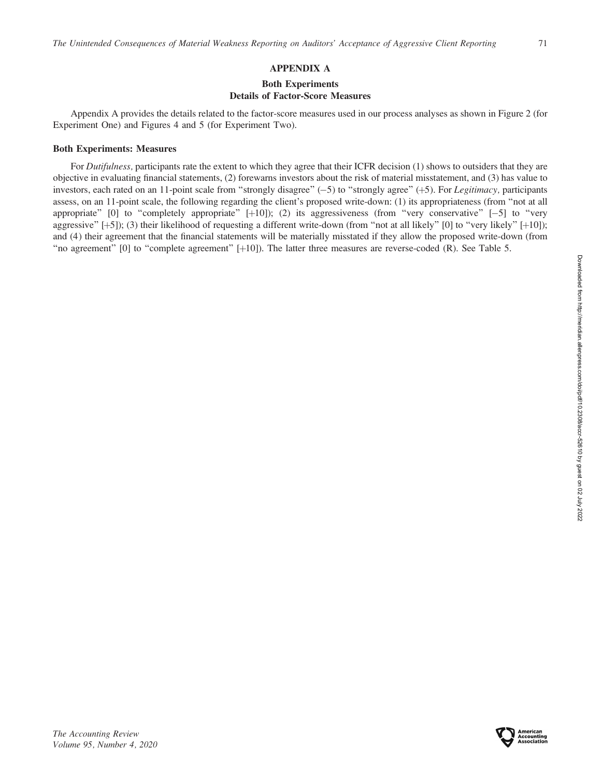# APPENDIX A

# Both Experiments Details of Factor-Score Measures

Appendix A provides the details related to the factor-score measures used in our process analyses as shown in Figure 2 (for Experiment One) and Figures 4 and 5 (for Experiment Two).

# Both Experiments: Measures

For Dutifulness, participants rate the extent to which they agree that their ICFR decision (1) shows to outsiders that they are objective in evaluating financial statements, (2) forewarns investors about the risk of material misstatement, and (3) has value to investors, each rated on an 11-point scale from "strongly disagree"  $(-5)$  to "strongly agree"  $(+5)$ . For Legitimacy, participants assess, on an 11-point scale, the following regarding the client's proposed write-down: (1) its appropriateness (from ''not at all appropriate" [0] to "completely appropriate" [+10]); (2) its aggressiveness (from "very conservative" [-5] to "very aggressive"  $[+5]$ ; (3) their likelihood of requesting a different write-down (from "not at all likely"  $[0]$  to "very likely"  $[+10]$ ; and (4) their agreement that the financial statements will be materially misstated if they allow the proposed write-down (from ''no agreement'' [0] to ''complete agreement'' [þ10]). The latter three measures are reverse-coded (R). See Table 5.